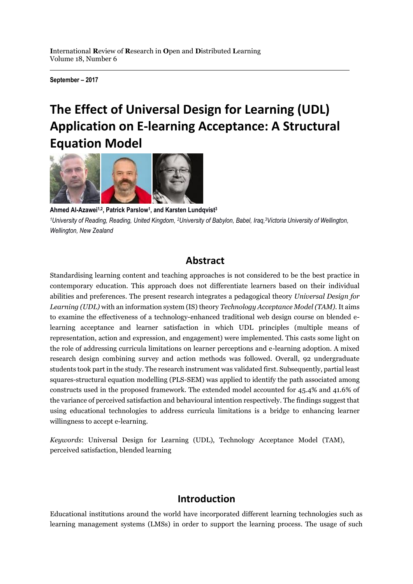**September – 2017**

# **The Effect of Universal Design for Learning (UDL) Application on E-learning Acceptance: A Structural Equation Model**



**Ahmed Al-Azawei1,2, Patrick Parslow<sup>1</sup> , and Karsten Lundqvist<sup>3</sup>** *<sup>1</sup>University of Reading, Reading, United Kingdom, <sup>2</sup>University of Babylon, Babel, Iraq, <sup>3</sup>Victoria University of Wellington, Wellington, New Zealand*

## **Abstract**

Standardising learning content and teaching approaches is not considered to be the best practice in contemporary education. This approach does not differentiate learners based on their individual abilities and preferences. The present research integrates a pedagogical theory *Universal Design for Learning (UDL)* with an information system (IS) theory *Technology Acceptance Model (TAM).* It aims to examine the effectiveness of a technology-enhanced traditional web design course on blended elearning acceptance and learner satisfaction in which UDL principles (multiple means of representation, action and expression, and engagement) were implemented. This casts some light on the role of addressing curricula limitations on learner perceptions and e-learning adoption. A mixed research design combining survey and action methods was followed. Overall, 92 undergraduate students took part in the study. The research instrument was validated first. Subsequently, partial least squares-structural equation modelling (PLS-SEM) was applied to identify the path associated among constructs used in the proposed framework. The extended model accounted for 45.4% and 41.6% of the variance of perceived satisfaction and behavioural intention respectively. The findings suggest that using educational technologies to address curricula limitations is a bridge to enhancing learner willingness to accept e-learning.

*Keywords*: Universal Design for Learning (UDL), Technology Acceptance Model (TAM), perceived satisfaction, blended learning

## **Introduction**

Educational institutions around the world have incorporated different learning technologies such as learning management systems (LMSs) in order to support the learning process. The usage of such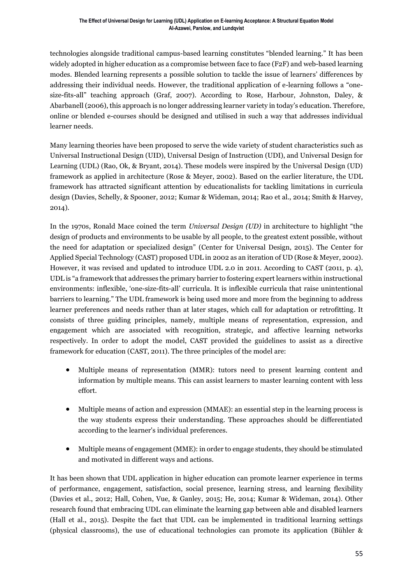technologies alongside traditional campus-based learning constitutes "blended learning." It has been widely adopted in higher education as a compromise between face to face (F2F) and web-based learning modes. Blended learning represents a possible solution to tackle the issue of learners' differences by addressing their individual needs. However, the traditional application of e-learning follows a "onesize-fits-all" teaching approach (Graf, 2007). According to Rose, Harbour, Johnston, Daley, & Abarbanell (2006), this approach is no longer addressing learner variety in today's education. Therefore, online or blended e-courses should be designed and utilised in such a way that addresses individual learner needs.

Many learning theories have been proposed to serve the wide variety of student characteristics such as Universal Instructional Design (UID), Universal Design of Instruction (UDI), and Universal Design for Learning (UDL) (Rao, Ok, & Bryant, 2014). These models were inspired by the Universal Design (UD) framework as applied in architecture (Rose & Meyer, 2002). Based on the earlier literature, the UDL framework has attracted significant attention by educationalists for tackling limitations in curricula design (Davies, Schelly, & Spooner, 2012; Kumar & Wideman, 2014; Rao et al., 2014; Smith & Harvey, 2014).

In the 1970s, Ronald Mace coined the term *Universal Design (UD)* in architecture to highlight "the design of products and environments to be usable by all people, to the greatest extent possible, without the need for adaptation or specialized design" (Center for Universal Design, 2015). The Center for Applied Special Technology (CAST) proposed UDL in 2002 as an iteration of UD (Rose & Meyer, 2002). However, it was revised and updated to introduce UDL 2.0 in 2011. According to CAST (2011, p. 4), UDL is "a framework that addresses the primary barrier to fostering expert learners within instructional environments: inflexible, 'one-size-fits-all' curricula. It is inflexible curricula that raise unintentional barriers to learning." The UDL framework is being used more and more from the beginning to address learner preferences and needs rather than at later stages, which call for adaptation or retrofitting. It consists of three guiding principles, namely, multiple means of representation, expression, and engagement which are associated with recognition, strategic, and affective learning networks respectively. In order to adopt the model, CAST provided the guidelines to assist as a directive framework for education (CAST, 2011). The three principles of the model are:

- Multiple means of representation (MMR): tutors need to present learning content and information by multiple means. This can assist learners to master learning content with less effort.
- Multiple means of action and expression (MMAE): an essential step in the learning process is the way students express their understanding. These approaches should be differentiated according to the learner's individual preferences.
- Multiple means of engagement (MME): in order to engage students, they should be stimulated and motivated in different ways and actions.

It has been shown that UDL application in higher education can promote learner experience in terms of performance, engagement, satisfaction, social presence, learning stress, and learning flexibility (Davies et al., 2012; Hall, Cohen, Vue, & Ganley, 2015; He, 2014; Kumar & Wideman, 2014). Other research found that embracing UDL can eliminate the learning gap between able and disabled learners (Hall et al., 2015). Despite the fact that UDL can be implemented in traditional learning settings (physical classrooms), the use of educational technologies can promote its application (Bühler &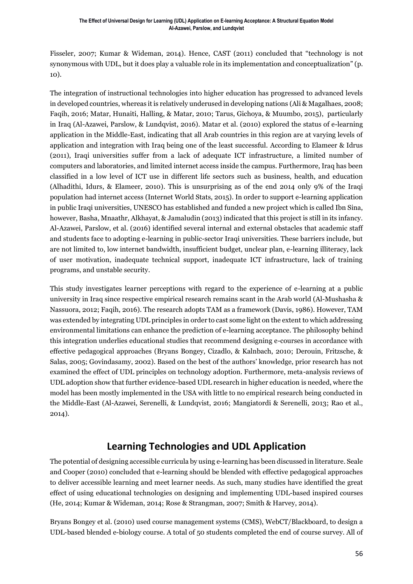Fisseler, 2007; Kumar & Wideman, 2014). Hence, CAST (2011) concluded that "technology is not synonymous with UDL, but it does play a valuable role in its implementation and conceptualization" (p. 10).

The integration of instructional technologies into higher education has progressed to advanced levels in developed countries, whereas it is relatively underused in developing nations (Ali & Magalhaes, 2008; Faqih, 2016; Matar, Hunaiti, Halling, & Matar, 2010; Tarus, Gichoya, & Muumbo, 2015), particularly in Iraq (Al-Azawei, Parslow, & Lundqvist, 2016). Matar et al. (2010) explored the status of e-learning application in the Middle-East, indicating that all Arab countries in this region are at varying levels of application and integration with Iraq being one of the least successful. According to Elameer & Idrus (2011), Iraqi universities suffer from a lack of adequate ICT infrastructure, a limited number of computers and laboratories, and limited internet access inside the campus. Furthermore, Iraq has been classified in a low level of ICT use in different life sectors such as business, health, and education (Alhadithi, Idurs, & Elameer, 2010). This is unsurprising as of the end 2014 only 9% of the Iraqi population had internet access (Internet World Stats, 2015). In order to support e-learning application in public Iraqi universities, UNESCO has established and funded a new project which is called Ibn Sina, however, Basha, Mnaathr, Alkhayat, & Jamaludin (2013) indicated that this project is still in its infancy. Al-Azawei, Parslow, et al. (2016) identified several internal and external obstacles that academic staff and students face to adopting e-learning in public-sector Iraqi universities. These barriers include, but are not limited to, low internet bandwidth, insufficient budget, unclear plan, e-learning illiteracy, lack of user motivation, inadequate technical support, inadequate ICT infrastructure, lack of training programs, and unstable security.

This study investigates learner perceptions with regard to the experience of e-learning at a public university in Iraq since respective empirical research remains scant in the Arab world (Al-Mushasha & Nassuora, 2012; Faqih, 2016). The research adopts TAM as a framework (Davis, 1986). However, TAM was extended by integrating UDL principles in order to cast some light on the extent to which addressing environmental limitations can enhance the prediction of e-learning acceptance. The philosophy behind this integration underlies educational studies that recommend designing e-courses in accordance with effective pedagogical approaches (Bryans Bongey, Cizadlo, & Kalnbach, 2010; Derouin, Fritzsche, & Salas, 2005; Govindasamy, 2002). Based on the best of the authors' knowledge, prior research has not examined the effect of UDL principles on technology adoption. Furthermore, meta-analysis reviews of UDL adoption show that further evidence-based UDL research in higher education is needed, where the model has been mostly implemented in the USA with little to no empirical research being conducted in the Middle-East (Al-Azawei, Serenelli, & Lundqvist, 2016; Mangiatordi & Serenelli, 2013; Rao et al., 2014).

## **Learning Technologies and UDL Application**

The potential of designing accessible curricula by using e-learning has been discussed in literature. Seale and Cooper (2010) concluded that e-learning should be blended with effective pedagogical approaches to deliver accessible learning and meet learner needs. As such, many studies have identified the great effect of using educational technologies on designing and implementing UDL-based inspired courses (He, 2014; Kumar & Wideman, 2014; Rose & Strangman, 2007; Smith & Harvey, 2014).

Bryans Bongey et al. (2010) used course management systems (CMS), WebCT/Blackboard, to design a UDL-based blended e-biology course. A total of 50 students completed the end of course survey. All of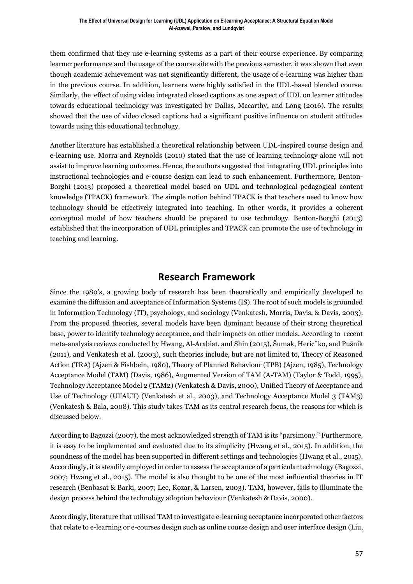them confirmed that they use e-learning systems as a part of their course experience. By comparing learner performance and the usage of the course site with the previous semester, it was shown that even though academic achievement was not significantly different, the usage of e-learning was higher than in the previous course. In addition, learners were highly satisfied in the UDL-based blended course. Similarly, the effect of using video integrated closed captions as one aspect of UDL on learner attitudes towards educational technology was investigated by Dallas, Mccarthy, and Long (2016). The results showed that the use of video closed captions had a significant positive influence on student attitudes towards using this educational technology.

Another literature has established a theoretical relationship between UDL-inspired course design and e-learning use. Morra and Reynolds (2010) stated that the use of learning technology alone will not assist to improve learning outcomes. Hence, the authors suggested that integrating UDL principles into instructional technologies and e-course design can lead to such enhancement. Furthermore, Benton-Borghi (2013) proposed a theoretical model based on UDL and technological pedagogical content knowledge (TPACK) framework. The simple notion behind TPACK is that teachers need to know how technology should be effectively integrated into teaching. In other words, it provides a coherent conceptual model of how teachers should be prepared to use technology. Benton-Borghi (2013) established that the incorporation of UDL principles and TPACK can promote the use of technology in teaching and learning.

## **Research Framework**

Since the 1980's, a growing body of research has been theoretically and empirically developed to examine the diffusion and acceptance of Information Systems (IS). The root of such models is grounded in Information Technology (IT), psychology, and sociology (Venkatesh, Morris, Davis, & Davis, 2003). From the proposed theories, several models have been dominant because of their strong theoretical base, power to identify technology acceptance, and their impacts on other models. According to recent meta-analysis reviews conducted by Hwang, Al-Arabiat, and Shin (2015), Šumak, Hericˇko, and Pušnik (2011), and Venkatesh et al. (2003), such theories include, but are not limited to, Theory of Reasoned Action (TRA) (Ajzen & Fishbein, 1980), Theory of Planned Behaviour (TPB) (Ajzen, 1985), Technology Acceptance Model (TAM) (Davis, 1986), Augmented Version of TAM (A-TAM) (Taylor & Todd, 1995), Technology Acceptance Model 2 (TAM2) (Venkatesh & Davis, 2000), Unified Theory of Acceptance and Use of Technology (UTAUT) (Venkatesh et al., 2003), and Technology Acceptance Model 3 (TAM3) (Venkatesh & Bala, 2008). This study takes TAM as its central research focus, the reasons for which is discussed below.

According to Bagozzi (2007), the most acknowledged strength of TAM is its "parsimony." Furthermore, it is easy to be implemented and evaluated due to its simplicity (Hwang et al., 2015). In addition, the soundness of the model has been supported in different settings and technologies (Hwang et al., 2015). Accordingly, it is steadily employed in order to assess the acceptance of a particular technology (Bagozzi, 2007; Hwang et al., 2015). The model is also thought to be one of the most influential theories in IT research (Benbasat & Barki, 2007; Lee, Kozar, & Larsen, 2003). TAM, however, fails to illuminate the design process behind the technology adoption behaviour (Venkatesh & Davis, 2000).

Accordingly, literature that utilised TAM to investigate e-learning acceptance incorporated other factors that relate to e-learning or e-courses design such as online course design and user interface design (Liu,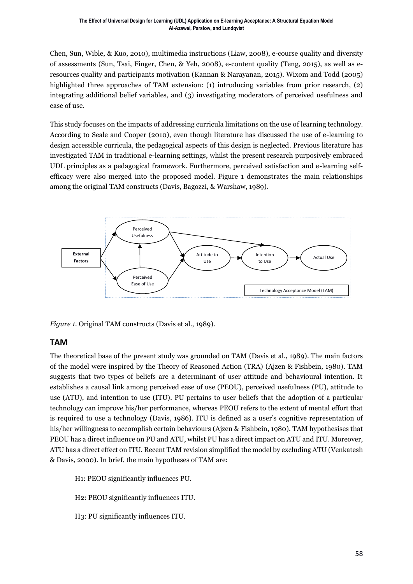Chen, Sun, Wible, & Kuo, 2010), multimedia instructions (Liaw, 2008), e-course quality and diversity of assessments (Sun, Tsai, Finger, Chen, & Yeh, 2008), e-content quality (Teng, 2015), as well as eresources quality and participants motivation (Kannan & Narayanan, 2015). Wixom and Todd (2005) highlighted three approaches of TAM extension: (1) introducing variables from prior research, (2) integrating additional belief variables, and (3) investigating moderators of perceived usefulness and ease of use.

This study focuses on the impacts of addressing curricula limitations on the use of learning technology. According to Seale and Cooper (2010), even though literature has discussed the use of e-learning to design accessible curricula, the pedagogical aspects of this design is neglected. Previous literature has investigated TAM in traditional e-learning settings, whilst the present research purposively embraced UDL principles as a pedagogical framework. Furthermore, perceived satisfaction and e-learning selfefficacy were also merged into the proposed model. Figure 1 demonstrates the main relationships among the original TAM constructs (Davis, Bagozzi, & Warshaw, 1989).



*Figure 1.* Original TAM constructs (Davis et al., 1989).

#### **TAM**

The theoretical base of the present study was grounded on TAM (Davis et al., 1989). The main factors of the model were inspired by the Theory of Reasoned Action (TRA) (Ajzen & Fishbein, 1980). TAM suggests that two types of beliefs are a determinant of user attitude and behavioural intention. It establishes a causal link among perceived ease of use (PEOU), perceived usefulness (PU), attitude to use (ATU), and intention to use (ITU). PU pertains to user beliefs that the adoption of a particular technology can improve his/her performance, whereas PEOU refers to the extent of mental effort that is required to use a technology (Davis, 1986). ITU is defined as a user's cognitive representation of his/her willingness to accomplish certain behaviours (Ajzen & Fishbein, 1980). TAM hypothesises that PEOU has a direct influence on PU and ATU, whilst PU has a direct impact on ATU and ITU. Moreover, ATU has a direct effect on ITU. Recent TAM revision simplified the model by excluding ATU (Venkatesh & Davis, 2000). In brief, the main hypotheses of TAM are:

H1: PEOU significantly influences PU.

H2: PEOU significantly influences ITU.

H3: PU significantly influences ITU.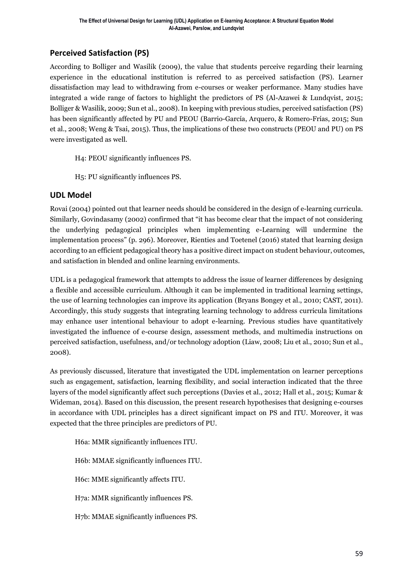## **Perceived Satisfaction (PS)**

According to Bolliger and Wasilik (2009), the value that students perceive regarding their learning experience in the educational institution is referred to as perceived satisfaction (PS). Learner dissatisfaction may lead to withdrawing from e-courses or weaker performance. Many studies have integrated a wide range of factors to highlight the predictors of PS (Al-Azawei & Lundqvist, 2015; Bolliger & Wasilik, 2009; Sun et al., 2008). In keeping with previous studies, perceived satisfaction (PS) has been significantly affected by PU and PEOU (Barrio-García, Arquero, & Romero-Frías, 2015; Sun et al., 2008; Weng & Tsai, 2015). Thus, the implications of these two constructs (PEOU and PU) on PS were investigated as well.

H4: PEOU significantly influences PS.

H5: PU significantly influences PS.

## **UDL Model**

Rovai (2004) pointed out that learner needs should be considered in the design of e-learning curricula. Similarly, Govindasamy (2002) confirmed that "it has become clear that the impact of not considering the underlying pedagogical principles when implementing e-Learning will undermine the implementation process" (p. 296). Moreover, Rienties and Toetenel (2016) stated that learning design according to an efficient pedagogical theory has a positive direct impact on student behaviour, outcomes, and satisfaction in blended and online learning environments.

UDL is a pedagogical framework that attempts to address the issue of learner differences by designing a flexible and accessible curriculum. Although it can be implemented in traditional learning settings, the use of learning technologies can improve its application (Bryans Bongey et al., 2010; CAST, 2011). Accordingly, this study suggests that integrating learning technology to address curricula limitations may enhance user intentional behaviour to adopt e-learning. Previous studies have quantitatively investigated the influence of e-course design, assessment methods, and multimedia instructions on perceived satisfaction, usefulness, and/or technology adoption (Liaw, 2008; Liu et al., 2010; Sun et al., 2008).

As previously discussed, literature that investigated the UDL implementation on learner perceptions such as engagement, satisfaction, learning flexibility, and social interaction indicated that the three layers of the model significantly affect such perceptions (Davies et al., 2012; Hall et al., 2015; Kumar & Wideman, 2014). Based on this discussion, the present research hypothesises that designing e-courses in accordance with UDL principles has a direct significant impact on PS and ITU. Moreover, it was expected that the three principles are predictors of PU.

H6a: MMR significantly influences ITU.

H6b: MMAE significantly influences ITU.

H6c: MME significantly affects ITU.

H7a: MMR significantly influences PS.

H7b: MMAE significantly influences PS.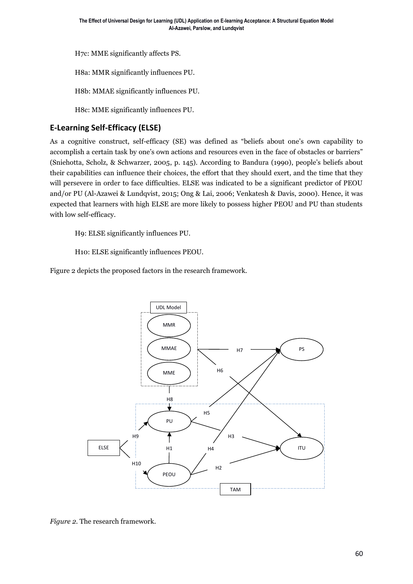H7c: MME significantly affects PS.

H8a: MMR significantly influences PU.

H8b: MMAE significantly influences PU.

H8c: MME significantly influences PU.

## **E-Learning Self-Efficacy (ELSE)**

As a cognitive construct, self-efficacy (SE) was defined as "beliefs about one's own capability to accomplish a certain task by one's own actions and resources even in the face of obstacles or barriers" (Sniehotta, Scholz, & Schwarzer, 2005, p. 145). According to Bandura (1990), people's beliefs about their capabilities can influence their choices, the effort that they should exert, and the time that they will persevere in order to face difficulties. ELSE was indicated to be a significant predictor of PEOU and/or PU (Al-Azawei & Lundqvist, 2015; Ong & Lai, 2006; Venkatesh & Davis, 2000). Hence, it was expected that learners with high ELSE are more likely to possess higher PEOU and PU than students with low self-efficacy.

H9: ELSE significantly influences PU.

H10: ELSE significantly influences PEOU.

Figure 2 depicts the proposed factors in the research framework.



*Figure 2.* The research framework.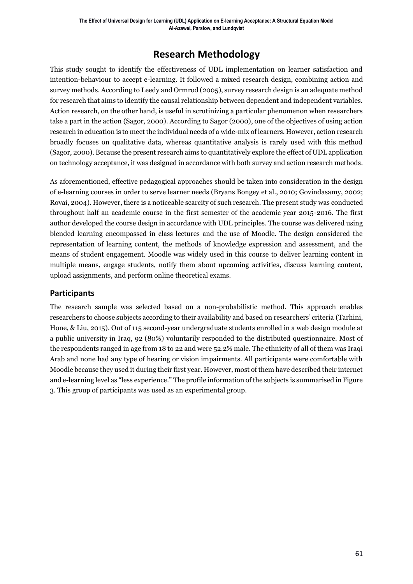## **Research Methodology**

This study sought to identify the effectiveness of UDL implementation on learner satisfaction and intention-behaviour to accept e-learning. It followed a mixed research design, combining action and survey methods. According to Leedy and Ormrod (2005), survey research design is an adequate method for research that aims to identify the causal relationship between dependent and independent variables. Action research, on the other hand, is useful in scrutinizing a particular phenomenon when researchers take a part in the action (Sagor, 2000). According to Sagor (2000), one of the objectives of using action research in education is to meet the individual needs of a wide-mix of learners. However, action research broadly focuses on qualitative data, whereas quantitative analysis is rarely used with this method (Sagor, 2000). Because the present research aims to quantitatively explore the effect of UDL application on technology acceptance, it was designed in accordance with both survey and action research methods.

As aforementioned, effective pedagogical approaches should be taken into consideration in the design of e-learning courses in order to serve learner needs (Bryans Bongey et al., 2010; Govindasamy, 2002; Rovai, 2004). However, there is a noticeable scarcity of such research. The present study was conducted throughout half an academic course in the first semester of the academic year 2015-2016. The first author developed the course design in accordance with UDL principles. The course was delivered using blended learning encompassed in class lectures and the use of Moodle. The design considered the representation of learning content, the methods of knowledge expression and assessment, and the means of student engagement. Moodle was widely used in this course to deliver learning content in multiple means, engage students, notify them about upcoming activities, discuss learning content, upload assignments, and perform online theoretical exams.

## **Participants**

The research sample was selected based on a non-probabilistic method. This approach enables researchers to choose subjects according to their availability and based on researchers' criteria (Tarhini, Hone, & Liu, 2015). Out of 115 second-year undergraduate students enrolled in a web design module at a public university in Iraq, 92 (80%) voluntarily responded to the distributed questionnaire. Most of the respondents ranged in age from 18 to 22 and were 52.2% male. The ethnicity of all of them was Iraqi Arab and none had any type of hearing or vision impairments. All participants were comfortable with Moodle because they used it during their first year. However, most of them have described their internet and e-learning level as "less experience." The profile information of the subjects is summarised in Figure 3. This group of participants was used as an experimental group.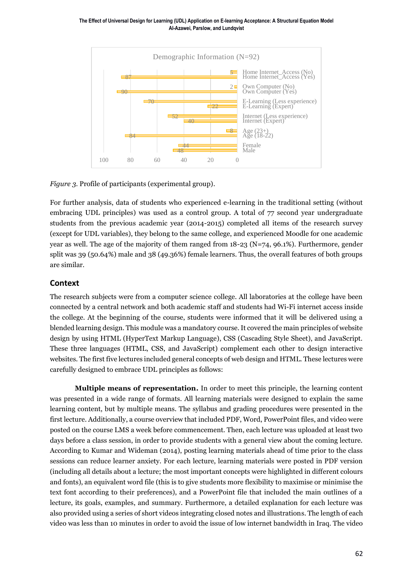**The Effect of Universal Design for Learning (UDL) Application on E-learning Acceptance: A Structural Equation Model Al-Azawei, Parslow, and Lundqvist**



*Figure 3.* Profile of participants (experimental group).

For further analysis, data of students who experienced e-learning in the traditional setting (without embracing UDL principles) was used as a control group. A total of 77 second year undergraduate students from the previous academic year (2014-2015) completed all items of the research survey (except for UDL variables), they belong to the same college, and experienced Moodle for one academic year as well. The age of the majority of them ranged from 18-23 (N=74, 96.1%). Furthermore, gender split was 39 (50.64%) male and 38 (49.36%) female learners. Thus, the overall features of both groups are similar.

#### **Context**

The research subjects were from a computer science college. All laboratories at the college have been connected by a central network and both academic staff and students had Wi-Fi internet access inside the college. At the beginning of the course, students were informed that it will be delivered using a blended learning design. This module was a mandatory course. It covered the main principles of website design by using HTML (HyperText Markup Language), CSS (Cascading Style Sheet), and JavaScript. These three languages (HTML, CSS, and JavaScript) complement each other to design interactive websites. The first five lectures included general concepts of web design and HTML. These lectures were carefully designed to embrace UDL principles as follows:

**Multiple means of representation.** In order to meet this principle, the learning content was presented in a wide range of formats. All learning materials were designed to explain the same learning content, but by multiple means. The syllabus and grading procedures were presented in the first lecture. Additionally, a course overview that included PDF, Word, PowerPoint files, and video were posted on the course LMS a week before commencement. Then, each lecture was uploaded at least two days before a class session, in order to provide students with a general view about the coming lecture. According to Kumar and Wideman (2014), posting learning materials ahead of time prior to the class sessions can reduce learner anxiety. For each lecture, learning materials were posted in PDF version (including all details about a lecture; the most important concepts were highlighted in different colours and fonts), an equivalent word file (this is to give students more flexibility to maximise or minimise the text font according to their preferences), and a PowerPoint file that included the main outlines of a lecture, its goals, examples, and summary. Furthermore, a detailed explanation for each lecture was also provided using a series of short videos integrating closed notes and illustrations. The length of each video was less than 10 minutes in order to avoid the issue of low internet bandwidth in Iraq. The video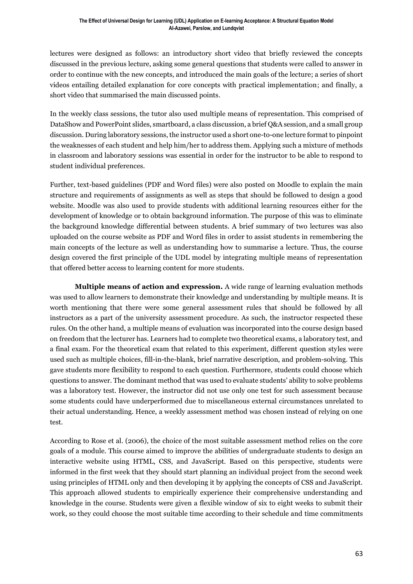lectures were designed as follows: an introductory short video that briefly reviewed the concepts discussed in the previous lecture, asking some general questions that students were called to answer in order to continue with the new concepts, and introduced the main goals of the lecture; a series of short videos entailing detailed explanation for core concepts with practical implementation; and finally, a short video that summarised the main discussed points.

In the weekly class sessions, the tutor also used multiple means of representation. This comprised of DataShow and PowerPoint slides, smartboard, a class discussion, a brief Q&A session, and a small group discussion. During laboratory sessions, the instructor used a short one-to-one lecture format to pinpoint the weaknesses of each student and help him/her to address them. Applying such a mixture of methods in classroom and laboratory sessions was essential in order for the instructor to be able to respond to student individual preferences.

Further, text-based guidelines (PDF and Word files) were also posted on Moodle to explain the main structure and requirements of assignments as well as steps that should be followed to design a good website. Moodle was also used to provide students with additional learning resources either for the development of knowledge or to obtain background information. The purpose of this was to eliminate the background knowledge differential between students. A brief summary of two lectures was also uploaded on the course website as PDF and Word files in order to assist students in remembering the main concepts of the lecture as well as understanding how to summarise a lecture. Thus, the course design covered the first principle of the UDL model by integrating multiple means of representation that offered better access to learning content for more students.

**Multiple means of action and expression.** A wide range of learning evaluation methods was used to allow learners to demonstrate their knowledge and understanding by multiple means. It is worth mentioning that there were some general assessment rules that should be followed by all instructors as a part of the university assessment procedure. As such, the instructor respected these rules. On the other hand, a multiple means of evaluation was incorporated into the course design based on freedom that the lecturer has. Learners had to complete two theoretical exams, a laboratory test, and a final exam. For the theoretical exam that related to this experiment, different question styles were used such as multiple choices, fill-in-the-blank, brief narrative description, and problem-solving. This gave students more flexibility to respond to each question. Furthermore, students could choose which questions to answer. The dominant method that was used to evaluate students' ability to solve problems was a laboratory test. However, the instructor did not use only one test for such assessment because some students could have underperformed due to miscellaneous external circumstances unrelated to their actual understanding. Hence, a weekly assessment method was chosen instead of relying on one test.

According to Rose et al. (2006), the choice of the most suitable assessment method relies on the core goals of a module. This course aimed to improve the abilities of undergraduate students to design an interactive website using HTML, CSS, and JavaScript. Based on this perspective, students were informed in the first week that they should start planning an individual project from the second week using principles of HTML only and then developing it by applying the concepts of CSS and JavaScript. This approach allowed students to empirically experience their comprehensive understanding and knowledge in the course. Students were given a flexible window of six to eight weeks to submit their work, so they could choose the most suitable time according to their schedule and time commitments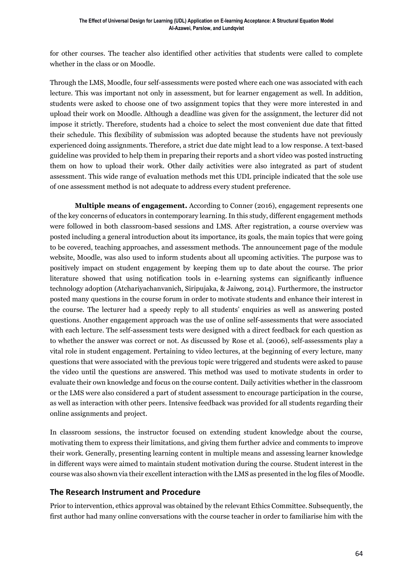for other courses. The teacher also identified other activities that students were called to complete whether in the class or on Moodle.

Through the LMS, Moodle, four self-assessments were posted where each one was associated with each lecture. This was important not only in assessment, but for learner engagement as well. In addition, students were asked to choose one of two assignment topics that they were more interested in and upload their work on Moodle. Although a deadline was given for the assignment, the lecturer did not impose it strictly. Therefore, students had a choice to select the most convenient due date that fitted their schedule. This flexibility of submission was adopted because the students have not previously experienced doing assignments. Therefore, a strict due date might lead to a low response. A text-based guideline was provided to help them in preparing their reports and a short video was posted instructing them on how to upload their work. Other daily activities were also integrated as part of student assessment. This wide range of evaluation methods met this UDL principle indicated that the sole use of one assessment method is not adequate to address every student preference.

**Multiple means of engagement.** According to Conner (2016), engagement represents one of the key concerns of educators in contemporary learning. In this study, different engagement methods were followed in both classroom-based sessions and LMS. After registration, a course overview was posted including a general introduction about its importance, its goals, the main topics that were going to be covered, teaching approaches, and assessment methods. The announcement page of the module website, Moodle, was also used to inform students about all upcoming activities. The purpose was to positively impact on student engagement by keeping them up to date about the course. The prior literature showed that using notification tools in e-learning systems can significantly influence technology adoption (Atchariyachanvanich, Siripujaka, & Jaiwong, 2014). Furthermore, the instructor posted many questions in the course forum in order to motivate students and enhance their interest in the course. The lecturer had a speedy reply to all students' enquiries as well as answering posted questions. Another engagement approach was the use of online self-assessments that were associated with each lecture. The self-assessment tests were designed with a direct feedback for each question as to whether the answer was correct or not. As discussed by Rose et al. (2006), self-assessments play a vital role in student engagement. Pertaining to video lectures, at the beginning of every lecture, many questions that were associated with the previous topic were triggered and students were asked to pause the video until the questions are answered. This method was used to motivate students in order to evaluate their own knowledge and focus on the course content. Daily activities whether in the classroom or the LMS were also considered a part of student assessment to encourage participation in the course, as well as interaction with other peers. Intensive feedback was provided for all students regarding their online assignments and project.

In classroom sessions, the instructor focused on extending student knowledge about the course, motivating them to express their limitations, and giving them further advice and comments to improve their work. Generally, presenting learning content in multiple means and assessing learner knowledge in different ways were aimed to maintain student motivation during the course. Student interest in the course was also shown via their excellent interaction with the LMS as presented in the log files of Moodle.

#### **The Research Instrument and Procedure**

Prior to intervention, ethics approval was obtained by the relevant Ethics Committee. Subsequently, the first author had many online conversations with the course teacher in order to familiarise him with the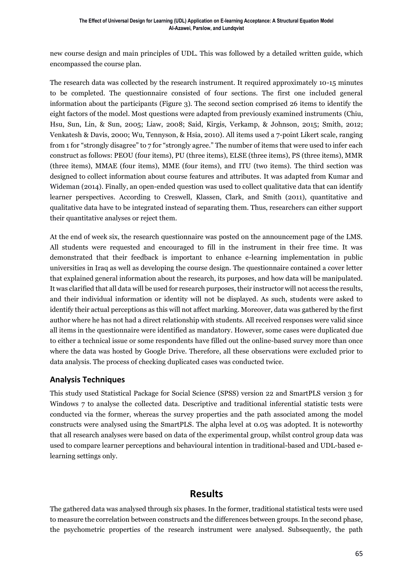new course design and main principles of UDL. This was followed by a detailed written guide, which encompassed the course plan.

The research data was collected by the research instrument. It required approximately 10-15 minutes to be completed. The questionnaire consisted of four sections. The first one included general information about the participants (Figure 3). The second section comprised 26 items to identify the eight factors of the model. Most questions were adapted from previously examined instruments (Chiu, Hsu, Sun, Lin, & Sun, 2005; Liaw, 2008; Said, Kirgis, Verkamp, & Johnson, 2015; Smith, 2012; Venkatesh & Davis, 2000; Wu, Tennyson, & Hsia, 2010). All items used a 7-point Likert scale, ranging from 1 for "strongly disagree" to 7 for "strongly agree." The number of items that were used to infer each construct as follows: PEOU (four items), PU (three items), ELSE (three items), PS (three items), MMR (three items), MMAE (four items), MME (four items), and ITU (two items). The third section was designed to collect information about course features and attributes. It was adapted from Kumar and Wideman (2014). Finally, an open-ended question was used to collect qualitative data that can identify learner perspectives. According to Creswell, Klassen, Clark, and Smith (2011), quantitative and qualitative data have to be integrated instead of separating them. Thus, researchers can either support their quantitative analyses or reject them.

At the end of week six, the research questionnaire was posted on the announcement page of the LMS. All students were requested and encouraged to fill in the instrument in their free time. It was demonstrated that their feedback is important to enhance e-learning implementation in public universities in Iraq as well as developing the course design. The questionnaire contained a cover letter that explained general information about the research, its purposes, and how data will be manipulated. It was clarified that all data will be used for research purposes, their instructor will not access the results, and their individual information or identity will not be displayed. As such, students were asked to identify their actual perceptions as this will not affect marking. Moreover, data was gathered by the first author where he has not had a direct relationship with students. All received responses were valid since all items in the questionnaire were identified as mandatory. However, some cases were duplicated due to either a technical issue or some respondents have filled out the online-based survey more than once where the data was hosted by Google Drive. Therefore, all these observations were excluded prior to data analysis. The process of checking duplicated cases was conducted twice.

#### **Analysis Techniques**

This study used Statistical Package for Social Science (SPSS) version 22 and SmartPLS version 3 for Windows 7 to analyse the collected data. Descriptive and traditional inferential statistic tests were conducted via the former, whereas the survey properties and the path associated among the model constructs were analysed using the SmartPLS. The alpha level at 0.05 was adopted. It is noteworthy that all research analyses were based on data of the experimental group, whilst control group data was used to compare learner perceptions and behavioural intention in traditional-based and UDL-based elearning settings only.

## **Results**

The gathered data was analysed through six phases. In the former, traditional statistical tests were used to measure the correlation between constructs and the differences between groups. In the second phase, the psychometric properties of the research instrument were analysed. Subsequently, the path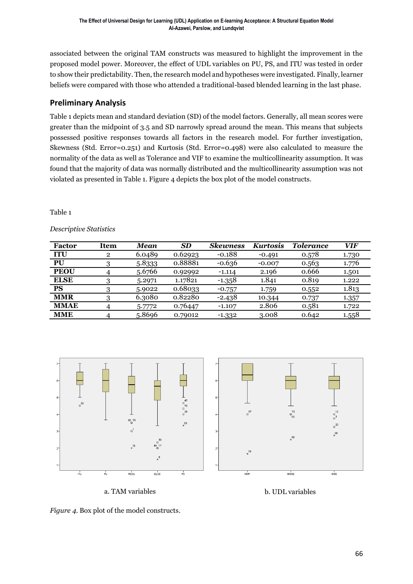associated between the original TAM constructs was measured to highlight the improvement in the proposed model power. Moreover, the effect of UDL variables on PU, PS, and ITU was tested in order to show their predictability. Then, the research model and hypotheses were investigated. Finally, learner beliefs were compared with those who attended a traditional-based blended learning in the last phase.

### **Preliminary Analysis**

Table 1 depicts mean and standard deviation (SD) of the model factors. Generally, all mean scores were greater than the midpoint of 3.5 and SD narrowly spread around the mean. This means that subjects possessed positive responses towards all factors in the research model. For further investigation, Skewness (Std. Error=0.251) and Kurtosis (Std. Error=0.498) were also calculated to measure the normality of the data as well as Tolerance and VIF to examine the multicollinearity assumption. It was found that the majority of data was normally distributed and the multicollinearity assumption was not violated as presented in Table 1. Figure 4 depicts the box plot of the model constructs.

Table 1

| Factor      | Item         | Mean   | <b>SD</b> | <b>Skewness</b> | Kurtosis | <b>Tolerance</b> | VIF   |
|-------------|--------------|--------|-----------|-----------------|----------|------------------|-------|
| <b>ITU</b>  | $\mathbf{2}$ | 6.0489 | 0.62923   | $-0.188$        | $-0.491$ | 0.578            | 1.730 |
| PU          |              | 5.8333 | 0.88881   | $-0.636$        | $-0.007$ | 0.563            | 1.776 |
| <b>PEOU</b> |              | 5.6766 | 0.92992   | $-1.114$        | 2.196    | 0.666            | 1.501 |
| <b>ELSE</b> |              | 5.2971 | 1.17821   | $-1.358$        | 1.841    | 0.819            | 1.222 |
| <b>PS</b>   |              | 5.9022 | 0.68033   | $-0.757$        | 1.759    | 0.552            | 1.813 |
| <b>MMR</b>  |              | 6.3080 | 0.82280   | $-2.438$        | 10.344   | 0.737            | 1.357 |
| <b>MMAE</b> |              | 5.7772 | 0.76447   | $-1.107$        | 2.806    | 0.581            | 1.722 |
| <b>MME</b>  |              | 5.8696 | 0.79012   | $-1.332$        | 3.008    | 0.642            | 1.558 |

*Descriptive Statistics*



a. TAM variables b. UDL variables

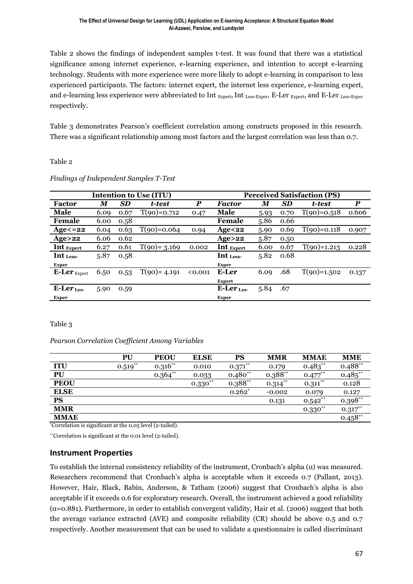Table 2 shows the findings of independent samples t-test. It was found that there was a statistical significance among internet experience, e-learning experience, and intention to accept e-learning technology. Students with more experience were more likely to adopt e-learning in comparison to less experienced participants. The factors: internet expert, the internet less experience, e-learning expert, and e-learning less experience were abbreviated to Int Expert, Int Less-Exper, E-Ler Expert, and E-Ler Less-Exper respectively.

Table 3 demonstrates Pearson's coefficient correlation among constructs proposed in this research. There was a significant relationship among most factors and the largest correlation was less than 0.7.

Table 2

| <b>Intention to Use (ITU)</b> |      |           |                 |                  |                   |      | <b>Perceived Satisfaction (PS)</b> |               |                  |
|-------------------------------|------|-----------|-----------------|------------------|-------------------|------|------------------------------------|---------------|------------------|
| <b>Factor</b>                 | М    | <b>SD</b> | t-test          | $\boldsymbol{P}$ | <b>Factor</b>     | М    | SD                                 | t-test        | $\boldsymbol{P}$ |
| Male                          | 6.09 | 0.67      | $T(90)=0.712$   | 0.47             | Male              | 5.93 | 0.70                               | $T(90)=0.518$ | 0.606            |
| Female                        | 6.00 | 0.58      |                 |                  | Female            | 5.86 | 0.66                               |               |                  |
| $Age \le 22$                  | 6.04 | 0.63      | $T(90)=0.064$   | 0.94             | Age < 22          | 5.90 | 0.69                               | $T(90)=0.118$ | 0.907            |
| Age > 22                      | 6.06 | 0.62      |                 |                  | Age > 22          | 5.87 | 0.50                               |               |                  |
| <b>Int</b> Expert             | 6.27 | 0.61      | $T(90) = 3.169$ | 0.002            | Int Expert        | 6.00 | 0.67                               | $T(90)=1.213$ | 0.228            |
| Int Less-                     | 5.87 | 0.58      |                 |                  | Int Less-         | 5.82 | 0.68                               |               |                  |
| Exper                         |      |           |                 |                  | <b>Exper</b>      |      |                                    |               |                  |
| <b>E-Ler</b> Expert           | 6.50 | 0.53      | $T(90) = 4.191$ | < 0.001          | E-Ler             | 6.09 | .68                                | $T(90)=1.502$ | 0.137            |
|                               |      |           |                 |                  | <b>Expert</b>     |      |                                    |               |                  |
| $E$ -Ler $_{Les}$             | 5.90 | 0.59      |                 |                  | $E$ -Ler $_{Les}$ | 5.84 | .67                                |               |                  |
| Exper                         |      |           |                 |                  | <b>Exper</b>      |      |                                    |               |                  |

#### *Findings of Independent Samples T-Test*

#### Table 3

*Pearson Correlation Coefficient Among Variables*

|                 | PU        | <b>PEOU</b> | <b>ELSE</b> | <b>PS</b>  | <b>MMR</b> | <b>MMAE</b>           | <b>MME</b> |
|-----------------|-----------|-------------|-------------|------------|------------|-----------------------|------------|
| <b>ITU</b>      | $0.519**$ | $0.316**$   | 0.010       | $0.371***$ | 0.179      | $0.483$ <sup>**</sup> | $0.488**$  |
| $\overline{PU}$ |           | $0.364**$   | 0.033       | $0.480**$  | $0.388**$  | $0.477**$             | $0.485***$ |
| <b>PEOU</b>     |           |             | $0.330**$   | $0.388**$  | $0.314***$ | $0.311***$            | 0.128      |
| <b>ELSE</b>     |           |             |             | $0.262^*$  | $-0.002$   | 0.079                 | 0.127      |
| <b>PS</b>       |           |             |             |            | 0.131      | $0.542***$            | $0.398**$  |
| <b>MMR</b>      |           |             |             |            |            | $0.330**$             | $0.317***$ |
| <b>MMAE</b>     |           |             |             |            |            |                       | $0.458**$  |

\*Correlation is significant at the 0.05 level (2-tailed).

\*\*Correlation is significant at the 0.01 level (2-tailed).

#### **Instrument Properties**

To establish the internal consistency reliability of the instrument, Cronbach's alpha (α) was measured. Researchers recommend that Cronbach's alpha is acceptable when it exceeds 0.7 (Pallant, 2013). However, Hair, Black, Babin, Anderson, & Tatham (2006) suggest that Cronbach's alpha is also acceptable if it exceeds 0.6 for exploratory research. Overall, the instrument achieved a good reliability (α=0.881). Furthermore, in order to establish convergent validity, Hair et al. (2006) suggest that both the average variance extracted (AVE) and composite reliability (CR) should be above 0.5 and 0.7 respectively. Another measurement that can be used to validate a questionnaire is called discriminant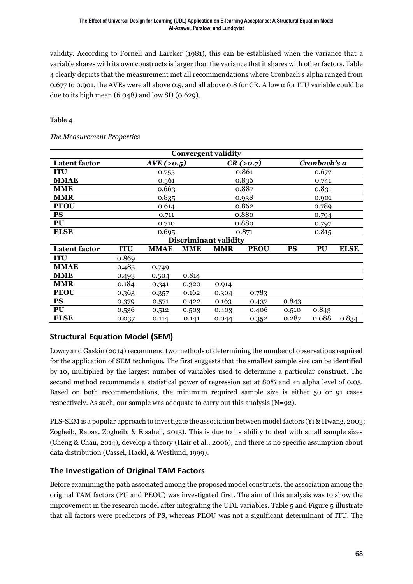validity. According to Fornell and Larcker (1981), this can be established when the variance that a variable shares with its own constructs is larger than the variance that it shares with other factors. Table 4 clearly depicts that the measurement met all recommendations where Cronbach's alpha ranged from 0.677 to 0.901, the AVEs were all above 0.5, and all above 0.8 for CR. A low α for ITU variable could be due to its high mean (6.048) and low SD (0.629).

#### Table 4

| <b>Convergent validity</b>   |            |             |            |            |                |           |              |             |  |  |  |
|------------------------------|------------|-------------|------------|------------|----------------|-----------|--------------|-------------|--|--|--|
| <b>Latent factor</b>         |            | AVE (>0.5)  |            |            | CR (> 0.7)     |           | Cronbach's a |             |  |  |  |
| <b>ITU</b>                   |            | 0.755       |            |            | 0.861          |           | 0.677        |             |  |  |  |
| <b>MMAE</b>                  |            | 0.561       |            |            | 0.836          |           | 0.741        |             |  |  |  |
| <b>MME</b>                   | 0.663      |             |            |            | 0.887          |           | 0.831        |             |  |  |  |
| <b>MMR</b>                   | 0.835      |             |            |            | 0.938          |           | 0.901        |             |  |  |  |
| <b>PEOU</b>                  | 0.614      |             |            |            | 0.862          | 0.789     |              |             |  |  |  |
| <b>PS</b>                    |            | 0.711       |            |            | 0.880          |           | 0.794        |             |  |  |  |
| PU                           | 0.710      |             |            | 0.880      |                | 0.797     |              |             |  |  |  |
| <b>ELSE</b>                  |            | 0.695       |            |            | 0.871<br>0.815 |           |              |             |  |  |  |
| <b>Discriminant validity</b> |            |             |            |            |                |           |              |             |  |  |  |
| <b>Latent factor</b>         | <b>ITU</b> | <b>MMAE</b> | <b>MME</b> | <b>MMR</b> | <b>PEOU</b>    | <b>PS</b> | <b>PU</b>    | <b>ELSE</b> |  |  |  |
| <b>ITU</b>                   | 0.869      |             |            |            |                |           |              |             |  |  |  |
| <b>MMAE</b>                  | 0.485      | 0.749       |            |            |                |           |              |             |  |  |  |
| <b>MME</b>                   | 0.493      | 0.504       | 0.814      |            |                |           |              |             |  |  |  |
| <b>MMR</b>                   | 0.184      | 0.341       | 0.320      | 0.914      |                |           |              |             |  |  |  |
| <b>PEOU</b>                  | 0.363      | 0.357       | 0.162      | 0.304      | 0.783          |           |              |             |  |  |  |
| <b>PS</b>                    | 0.379      | 0.571       | 0.422      | 0.163      | 0.437          | 0.843     |              |             |  |  |  |
| PU                           | 0.536      | 0.512       | 0.503      | 0.403      | 0.406          | 0.510     | 0.843        |             |  |  |  |
| <b>ELSE</b>                  | 0.037      | 0.114       | 0.141      | 0.044      | 0.352          | 0.287     | 0.088        | 0.834       |  |  |  |

#### *The Measurement Properties*

## **Structural Equation Model (SEM)**

Lowry and Gaskin (2014) recommend two methods of determining the number of observations required for the application of SEM technique. The first suggests that the smallest sample size can be identified by 10, multiplied by the largest number of variables used to determine a particular construct. The second method recommends a statistical power of regression set at 80% and an alpha level of 0.05. Based on both recommendations, the minimum required sample size is either 50 or 91 cases respectively. As such, our sample was adequate to carry out this analysis  $(N=92)$ .

PLS-SEM is a popular approach to investigate the association between model factors (Yi & Hwang, 2003; Zogheib, Rabaa, Zogheib, & Elsaheli, 2015). This is due to its ability to deal with small sample sizes (Cheng & Chau, 2014), develop a theory (Hair et al., 2006), and there is no specific assumption about data distribution (Cassel, Hackl, & Westlund, 1999).

## **The Investigation of Original TAM Factors**

Before examining the path associated among the proposed model constructs, the association among the original TAM factors (PU and PEOU) was investigated first. The aim of this analysis was to show the improvement in the research model after integrating the UDL variables. Table 5 and Figure 5 illustrate that all factors were predictors of PS, whereas PEOU was not a significant determinant of ITU. The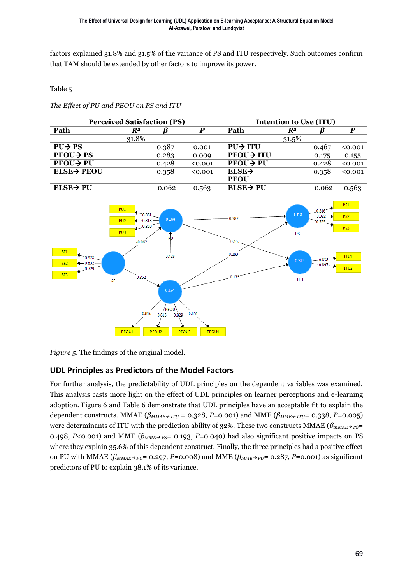factors explained 31.8% and 31.5% of the variance of PS and ITU respectively. Such outcomes confirm that TAM should be extended by other factors to improve its power.

#### Table 5

#### *The Effect of PU and PEOU on PS and ITU*

| <b>Perceived Satisfaction (PS)</b> |                |          |         | Intention to Use (ITU) |            |          |       |  |
|------------------------------------|----------------|----------|---------|------------------------|------------|----------|-------|--|
| Path                               | $\mathbb{R}^2$ |          | P       | Path                   | $\bm{R^2}$ |          |       |  |
|                                    | 31.8%          |          |         |                        | 31.5%      |          |       |  |
| $PU\rightarrow PS$                 |                | 0.387    | 0.001   | $PU \rightarrow ITU$   |            | 0.467    | 0.001 |  |
| $PEOU\rightarrow PS$               |                | 0.283    | 0.009   | PEOU→ ITU              |            | 0.175    | 0.155 |  |
| $PEOU \rightarrow PU$              |                | 0.428    | < 0.001 | $PEOU\rightarrow PU$   |            | 0.428    | 0.001 |  |
| $ELSE \rightarrow PEOU$            |                | 0.358    | < 0.001 | $ELSE\rightarrow$      |            | 0.358    | 0.001 |  |
|                                    |                |          |         | <b>PEOU</b>            |            |          |       |  |
| $ELSE \rightarrow PU$              |                | $-0.062$ | 0.563   | $ELSE \rightarrow PU$  |            | $-0.062$ | 0.563 |  |



*Figure 5.* The findings of the original model.

## **UDL Principles as Predictors of the Model Factors**

For further analysis, the predictability of UDL principles on the dependent variables was examined. This analysis casts more light on the effect of UDL principles on learner perceptions and e-learning adoption. Figure 6 and Table 6 demonstrate that UDL principles have an acceptable fit to explain the dependent constructs. MMAE  $(\beta_{MMAE \rightarrow ITU} = 0.328, P=0.001)$  and MME  $(\beta_{MME \rightarrow ITU} = 0.338, P=0.005)$ were determinants of ITU with the prediction ability of 32%. These two constructs MMAE (*βMMAE PS*= 0.498, *P*<0.001) and MME ( $\beta_{MME} \rightarrow p_s = 0.193$ , *P*=0.040) had also significant positive impacts on PS where they explain 35.6% of this dependent construct. Finally, the three principles had a positive effect on PU with MMAE ( $\beta_{MMAE \to PU} = 0.297$ , *P*=0.008) and MME ( $\beta_{MME \to PU} = 0.287$ , *P*=0.001) as significant predictors of PU to explain 38.1% of its variance.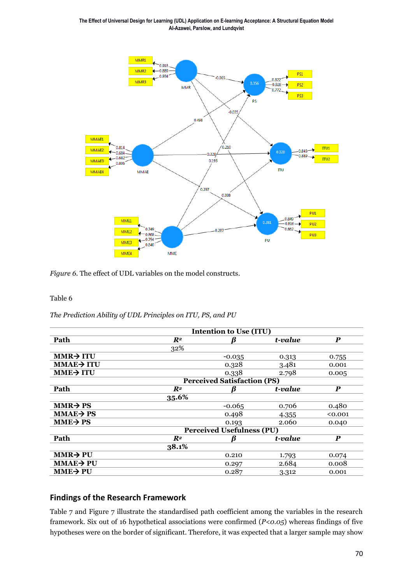**The Effect of Universal Design for Learning (UDL) Application on E-learning Acceptance: A Structural Equation Model Al-Azawei, Parslow, and Lundqvist**



*Figure 6.* The effect of UDL variables on the model constructs.

#### Table 6

*The Prediction Ability of UDL Principles on ITU, PS, and PU*

|                       |       | <b>Intention to Use (ITU)</b>      |         |                  |
|-----------------------|-------|------------------------------------|---------|------------------|
| Path                  | $R^2$ |                                    | t-value | P                |
|                       | 32%   |                                    |         |                  |
| $MMR \rightarrow ITU$ |       | $-0.035$                           | 0.313   | 0.755            |
| <b>MMAE→ ITU</b>      |       | 0.328                              | 3.481   | 0.001            |
| $MME \rightarrow ITU$ |       | 0.338                              | 2.798   | 0.005            |
|                       |       | <b>Perceived Satisfaction (PS)</b> |         |                  |
| Path                  | $R^2$ |                                    | t-value | $\boldsymbol{P}$ |
|                       | 35.6% |                                    |         |                  |
| $MMR \rightarrow PS$  |       | $-0.065$                           | 0.706   | 0.480            |
| $MMAE \rightarrow PS$ |       | 0.498                              | 4.355   | < 0.001          |
| $MME \rightarrow PS$  |       | 0.193                              | 2.060   | 0.040            |
|                       |       | <b>Perceived Usefulness (PU)</b>   |         |                  |
| Path                  | $R^2$ |                                    | t-value | P                |
|                       | 38.1% |                                    |         |                  |
| $MMR \rightarrow PU$  |       | 0.210                              | 1.793   | 0.074            |
| $MMAE \rightarrow PU$ |       | 0.297                              | 2.684   | 0.008            |
| $MME \rightarrow PU$  |       | 0.287                              | 3.312   | 0.001            |

#### **Findings of the Research Framework**

Table 7 and Figure 7 illustrate the standardised path coefficient among the variables in the research framework. Six out of 16 hypothetical associations were confirmed (*P<0.05*) whereas findings of five hypotheses were on the border of significant. Therefore, it was expected that a larger sample may show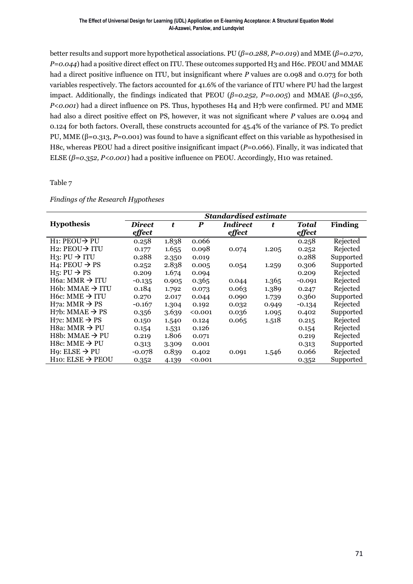better results and support more hypothetical associations. PU (*β=0.288, P=0.019*) and MME (*β=0.270, P*=0.044) had a positive direct effect on ITU. These outcomes supported H3 and H6c. PEOU and MMAE had a direct positive influence on ITU, but insignificant where *P* values are 0.098 and 0.073 for both variables respectively. The factors accounted for 41.6% of the variance of ITU where PU had the largest impact. Additionally, the findings indicated that PEOU (*β=0.252, P=0.005*) and MMAE (*β=0.356, P*<0.001) had a direct influence on PS. Thus, hypotheses H4 and H7b were confirmed. PU and MME had also a direct positive effect on PS, however, it was not significant where *P* values are 0.094 and 0.124 for both factors. Overall, these constructs accounted for 45.4% of the variance of PS. To predict PU, MME ( $\beta$ =0.313, *P*=0.001) was found to have a significant effect on this variable as hypothesised in H8c, whereas PEOU had a direct positive insignificant impact (*P*=0.066). Finally, it was indicated that ELSE (*β=0.352, P<0.001*) had a positive influence on PEOU. Accordingly, H10 was retained.

#### Table 7

*Findings of the Research Hypotheses*

|                               |               |       |                  | <b>Standardised estimate</b> |       |          |                |
|-------------------------------|---------------|-------|------------------|------------------------------|-------|----------|----------------|
| <b>Hypothesis</b>             | <b>Direct</b> | t     | $\boldsymbol{P}$ | <b>Indirect</b>              | t     | Total    | <b>Finding</b> |
|                               | effect        |       |                  | effect                       |       | effect   |                |
| $H1:$ PEOU $\rightarrow$ PU   | 0.258         | 1.838 | 0.066            |                              |       | 0.258    | Rejected       |
| $H2$ : PEOU $\rightarrow$ ITU | 0.177         | 1.655 | 0.098            | 0.074                        | 1.205 | 0.252    | Rejected       |
| $H_3: PU \rightarrow ITU$     | 0.288         | 2.350 | 0.019            |                              |       | 0.288    | Supported      |
| $H_4$ : PEOU $\rightarrow$ PS | 0.252         | 2.838 | 0.005            | 0.054                        | 1.259 | 0.306    | Supported      |
| $H_5: PU \rightarrow PS$      | 0.209         | 1.674 | 0.094            |                              |       | 0.209    | Rejected       |
| H6a: MMR $\rightarrow$ ITU    | $-0.135$      | 0.905 | 0.365            | 0.044                        | 1.365 | $-0.091$ | Rejected       |
| $H6b: MMAE \rightarrow ITU$   | 0.184         | 1.792 | 0.073            | 0.063                        | 1.389 | 0.247    | Rejected       |
| $H6c:$ MME $\rightarrow$ ITU  | 0.270         | 2.017 | 0.044            | 0.090                        | 1.739 | 0.360    | Supported      |
| $H7a: MMR \rightarrow PS$     | $-0.167$      | 1.304 | 0.192            | 0.032                        | 0.949 | $-0.134$ | Rejected       |
| $H7b$ : MMAE $\rightarrow$ PS | 0.356         | 3.639 | < 0.001          | 0.036                        | 1.095 | 0.402    | Supported      |
| $H7c: MME \rightarrow PS$     | 0.150         | 1.540 | 0.124            | 0.065                        | 1.518 | 0.215    | Rejected       |
| H8a: MMR $\rightarrow$ PU     | 0.154         | 1.531 | 0.126            |                              |       | 0.154    | Rejected       |
| $H8b: MMAE \rightarrow PU$    | 0.219         | 1.806 | 0.071            |                              |       | 0.219    | Rejected       |
| H8c: MME $\rightarrow$ PU     | 0.313         | 3.309 | 0.001            |                              |       | 0.313    | Supported      |
| $Hg: ELSE \rightarrow PU$     | -0.078        | 0.839 | 0.402            | 0.091                        | 1.546 | 0.066    | Rejected       |
| $H10: ELSE \rightarrow PEOU$  | 0.352         | 4.139 | < 0.001          |                              |       | 0.352    | Supported      |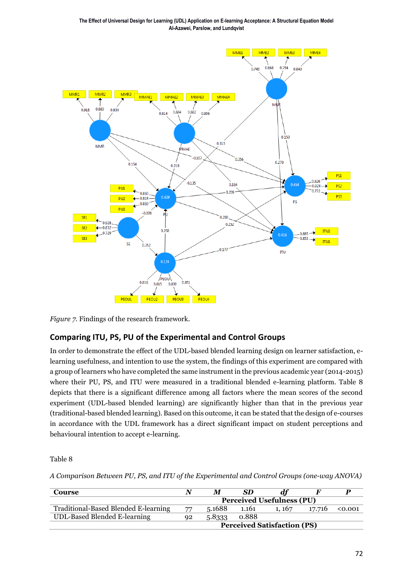**The Effect of Universal Design for Learning (UDL) Application on E-learning Acceptance: A Structural Equation Model Al-Azawei, Parslow, and Lundqvist**





#### **Comparing ITU, PS, PU of the Experimental and Control Groups**

In order to demonstrate the effect of the UDL-based blended learning design on learner satisfaction, elearning usefulness, and intention to use the system, the findings of this experiment are compared with a group of learners who have completed the same instrument in the previous academic year (2014-2015) where their PU, PS, and ITU were measured in a traditional blended e-learning platform. Table 8 depicts that there is a significant difference among all factors where the mean scores of the second experiment (UDL-based blended learning) are significantly higher than that in the previous year (traditional-based blended learning). Based on this outcome, it can be stated that the design of e-courses in accordance with the UDL framework has a direct significant impact on student perceptions and behavioural intention to accept e-learning.

Table 8

*A Comparison Between PU, PS, and ITU of the Experimental and Control Groups (one-way ANOVA)*

| <b>Course</b>                        |                                    | М      | <b>SD</b> |                                  |        |         |  |  |  |
|--------------------------------------|------------------------------------|--------|-----------|----------------------------------|--------|---------|--|--|--|
|                                      |                                    |        |           | <b>Perceived Usefulness (PU)</b> |        |         |  |  |  |
| Traditional-Based Blended E-learning | 77                                 | 5.1688 | 1.161     | 1, 167                           | 17.716 | < 0.001 |  |  |  |
| <b>UDL-Based Blended E-learning</b>  | 92                                 | 5.8333 | 0.888     |                                  |        |         |  |  |  |
|                                      | <b>Perceived Satisfaction (PS)</b> |        |           |                                  |        |         |  |  |  |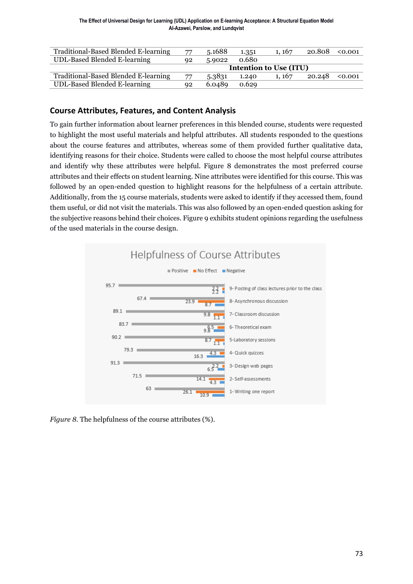**The Effect of Universal Design for Learning (UDL) Application on E-learning Acceptance: A Structural Equation Model Al-Azawei, Parslow, and Lundqvist**

| Traditional-Based Blended E-learning | 77 | 5.1688 | 1.351 | 1, 167 | 20.808 | < 0.001 |  |  |  |
|--------------------------------------|----|--------|-------|--------|--------|---------|--|--|--|
|                                      |    |        |       |        |        |         |  |  |  |
| UDL-Based Blended E-learning         | 92 | 5.9022 | 0.680 |        |        |         |  |  |  |
| Intention to Use (ITU)               |    |        |       |        |        |         |  |  |  |
|                                      |    |        |       |        |        |         |  |  |  |
| Traditional-Based Blended E-learning | 77 | 5.3831 | 1.240 | 1.167  | 20.248 | < 0.001 |  |  |  |

#### **Course Attributes, Features, and Content Analysis**

To gain further information about learner preferences in this blended course, students were requested to highlight the most useful materials and helpful attributes. All students responded to the questions about the course features and attributes, whereas some of them provided further qualitative data, identifying reasons for their choice. Students were called to choose the most helpful course attributes and identify why these attributes were helpful. Figure 8 demonstrates the most preferred course attributes and their effects on student learning. Nine attributes were identified for this course. This was followed by an open-ended question to highlight reasons for the helpfulness of a certain attribute. Additionally, from the 15 course materials, students were asked to identify if they accessed them, found them useful, or did not visit the materials. This was also followed by an open-ended question asking for the subjective reasons behind their choices. Figure 9 exhibits student opinions regarding the usefulness of the used materials in the course design.



*Figure 8.* The helpfulness of the course attributes (%).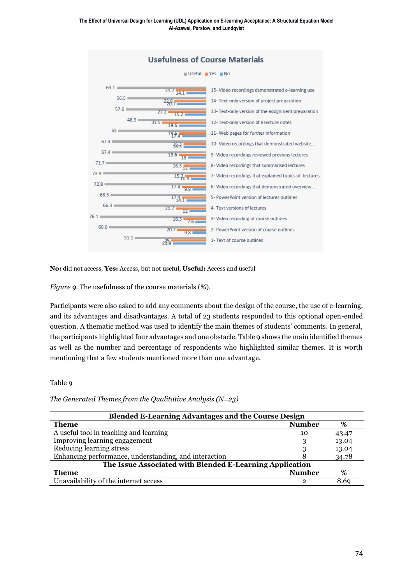

**No:** did not access, **Yes:** Access, but not useful, **Useful:** Access and useful

*Figure 9.* The usefulness of the course materials  $(\%)$ .

Participants were also asked to add any comments about the design of the course, the use of e-learning, and its advantages and disadvantages. A total of 23 students responded to this optional open-ended question. A thematic method was used to identify the main themes of students' comments. In general, the participants highlighted four advantages and one obstacle. Table 9 shows the main identified themes as well as the number and percentage of respondents who highlighted similar themes. It is worth mentioning that a few students mentioned more than one advantage.

Table 9

*The Generated Themes from the Qualitative Analysis (N=23)*

| <b>Blended E-Learning Advantages and the Course Design</b> |               |       |  |  |  |  |  |  |
|------------------------------------------------------------|---------------|-------|--|--|--|--|--|--|
| <b>Theme</b>                                               | <b>Number</b> | %     |  |  |  |  |  |  |
| A useful tool in teaching and learning                     | 10            | 43.47 |  |  |  |  |  |  |
| Improving learning engagement                              | 3             | 13.04 |  |  |  |  |  |  |
| Reducing learning stress                                   |               | 13.04 |  |  |  |  |  |  |
| Enhancing performance, understanding, and interaction      |               | 34.78 |  |  |  |  |  |  |
| The Issue Associated with Blended E-Learning Application   |               |       |  |  |  |  |  |  |
| <b>Theme</b>                                               | <b>Number</b> | %     |  |  |  |  |  |  |
| Unavailability of the internet access                      | 2             | 8.69  |  |  |  |  |  |  |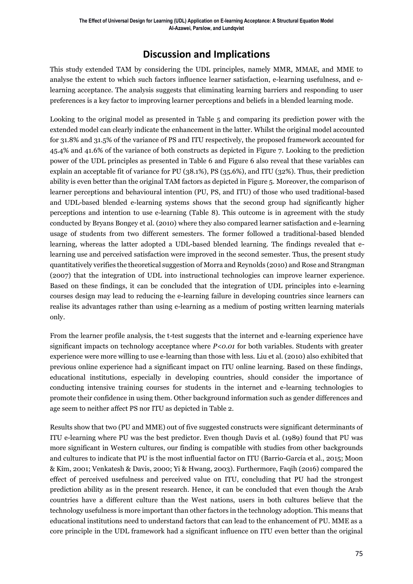## **Discussion and Implications**

This study extended TAM by considering the UDL principles, namely MMR, MMAE, and MME to analyse the extent to which such factors influence learner satisfaction, e-learning usefulness, and elearning acceptance. The analysis suggests that eliminating learning barriers and responding to user preferences is a key factor to improving learner perceptions and beliefs in a blended learning mode.

Looking to the original model as presented in Table 5 and comparing its prediction power with the extended model can clearly indicate the enhancement in the latter. Whilst the original model accounted for 31.8% and 31.5% of the variance of PS and ITU respectively, the proposed framework accounted for 45.4% and 41.6% of the variance of both constructs as depicted in Figure 7. Looking to the prediction power of the UDL principles as presented in Table 6 and Figure 6 also reveal that these variables can explain an acceptable fit of variance for PU (38.1%), PS (35.6%), and ITU (32%). Thus, their prediction ability is even better than the original TAM factors as depicted in Figure 5. Moreover, the comparison of learner perceptions and behavioural intention (PU, PS, and ITU) of those who used traditional-based and UDL-based blended e-learning systems shows that the second group had significantly higher perceptions and intention to use e-learning (Table 8). This outcome is in agreement with the study conducted by Bryans Bongey et al. (2010) where they also compared learner satisfaction and e-learning usage of students from two different semesters. The former followed a traditional-based blended learning, whereas the latter adopted a UDL-based blended learning. The findings revealed that elearning use and perceived satisfaction were improved in the second semester. Thus, the present study quantitatively verifies the theoretical suggestion of Morra and Reynolds (2010) and Rose and Strangman (2007) that the integration of UDL into instructional technologies can improve learner experience. Based on these findings, it can be concluded that the integration of UDL principles into e-learning courses design may lead to reducing the e-learning failure in developing countries since learners can realise its advantages rather than using e-learning as a medium of posting written learning materials only.

From the learner profile analysis, the t-test suggests that the internet and e-learning experience have significant impacts on technology acceptance where *P<0.01* for both variables. Students with greater experience were more willing to use e-learning than those with less. Liu et al. (2010) also exhibited that previous online experience had a significant impact on ITU online learning. Based on these findings, educational institutions, especially in developing countries, should consider the importance of conducting intensive training courses for students in the internet and e-learning technologies to promote their confidence in using them. Other background information such as gender differences and age seem to neither affect PS nor ITU as depicted in Table 2.

Results show that two (PU and MME) out of five suggested constructs were significant determinants of ITU e-learning where PU was the best predictor. Even though Davis et al. (1989) found that PU was more significant in Western cultures, our finding is compatible with studies from other backgrounds and cultures to indicate that PU is the most influential factor on ITU (Barrio-García et al., 2015; Moon & Kim, 2001; Venkatesh & Davis, 2000; Yi & Hwang, 2003). Furthermore, Faqih (2016) compared the effect of perceived usefulness and perceived value on ITU, concluding that PU had the strongest prediction ability as in the present research. Hence, it can be concluded that even though the Arab countries have a different culture than the West nations, users in both cultures believe that the technology usefulness is more important than other factors in the technology adoption. This means that educational institutions need to understand factors that can lead to the enhancement of PU. MME as a core principle in the UDL framework had a significant influence on ITU even better than the original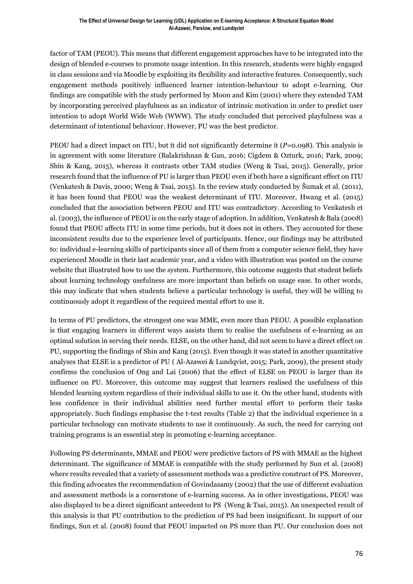factor of TAM (PEOU). This means that different engagement approaches have to be integrated into the design of blended e-courses to promote usage intention. In this research, students were highly engaged in class sessions and via Moodle by exploiting its flexibility and interactive features. Consequently, such engagement methods positively influenced learner intention-behaviour to adopt e-learning. Our findings are compatible with the study performed by Moon and Kim (2001) where they extended TAM by incorporating perceived playfulness as an indicator of intrinsic motivation in order to predict user intention to adopt World Wide Web (WWW). The study concluded that perceived playfulness was a determinant of intentional behaviour. However, PU was the best predictor.

PEOU had a direct impact on ITU, but it did not significantly determine it (*P*=0.098). This analysis is in agreement with some literature (Balakrishnan & Gan, 2016; Cigdem & Ozturk, 2016; Park, 2009; Shin & Kang, 2015), whereas it contrasts other TAM studies (Weng & Tsai, 2015). Generally, prior research found that the influence of PU is larger than PEOU even if both have a significant effect on ITU (Venkatesh & Davis, 2000; Weng & Tsai, 2015). In the review study conducted by Šumak et al. (2011), it has been found that PEOU was the weakest determinant of ITU. Moreover, Hwang et al. (2015) concluded that the association between PEOU and ITU was contradictory. According to Venkatesh et al. (2003), the influence of PEOU is on the early stage of adoption. In addition, Venkatesh & Bala (2008) found that PEOU affects ITU in some time periods, but it does not in others. They accounted for these inconsistent results due to the experience level of participants. Hence, our findings may be attributed to: individual e-learning skills of participants since all of them from a computer science field, they have experienced Moodle in their last academic year, and a video with illustration was posted on the course website that illustrated how to use the system. Furthermore, this outcome suggests that student beliefs about learning technology usefulness are more important than beliefs on usage ease. In other words, this may indicate that when students believe a particular technology is useful, they will be willing to continuously adopt it regardless of the required mental effort to use it.

In terms of PU predictors, the strongest one was MME, even more than PEOU. A possible explanation is that engaging learners in different ways assists them to realise the usefulness of e-learning as an optimal solution in serving their needs. ELSE, on the other hand, did not seem to have a direct effect on PU, supporting the findings of Shin and Kang (2015). Even though it was stated in another quantitative analyses that ELSE is a predictor of PU ( Al-Azawei & Lundqvist, 2015; Park, 2009), the present study confirms the conclusion of Ong and Lai (2006) that the effect of ELSE on PEOU is larger than its influence on PU. Moreover, this outcome may suggest that learners realised the usefulness of this blended learning system regardless of their individual skills to use it. On the other hand, students with less confidence in their individual abilities need further mental effort to perform their tasks appropriately. Such findings emphasise the t-test results (Table 2) that the individual experience in a particular technology can motivate students to use it continuously. As such, the need for carrying out training programs is an essential step in promoting e-learning acceptance.

Following PS determinants, MMAE and PEOU were predictive factors of PS with MMAE as the highest determinant. The significance of MMAE is compatible with the study performed by Sun et al. (2008) where results revealed that a variety of assessment methods was a predictive construct of PS. Moreover, this finding advocates the recommendation of Govindasamy (2002) that the use of different evaluation and assessment methods is a cornerstone of e-learning success. As in other investigations, PEOU was also displayed to be a direct significant antecedent to PS (Weng & Tsai, 2015). An unexpected result of this analysis is that PU contribution to the prediction of PS had been insignificant. In support of our findings, Sun et al. (2008) found that PEOU impacted on PS more than PU. Our conclusion does not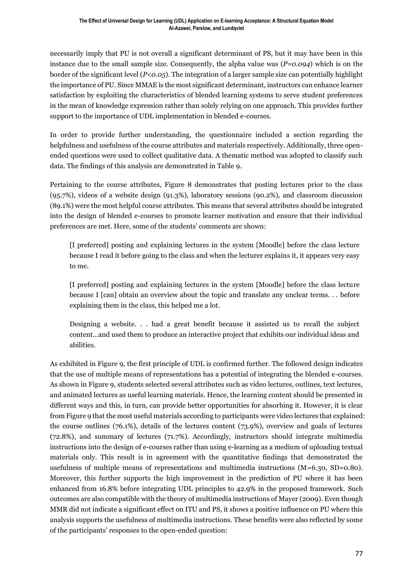necessarily imply that PU is not overall a significant determinant of PS, but it may have been in this instance due to the small sample size. Consequently, the alpha value was (*P=0.094*) which is on the border of the significant level (*P<0.05*). The integration of a larger sample size can potentially highlight the importance of PU. Since MMAE is the most significant determinant, instructors can enhance learner satisfaction by exploiting the characteristics of blended learning systems to serve student preferences in the mean of knowledge expression rather than solely relying on one approach. This provides further support to the importance of UDL implementation in blended e-courses.

In order to provide further understanding, the questionnaire included a section regarding the helpfulness and usefulness of the course attributes and materials respectively. Additionally, three openended questions were used to collect qualitative data. A thematic method was adopted to classify such data. The findings of this analysis are demonstrated in Table 9.

Pertaining to the course attributes, Figure 8 demonstrates that posting lectures prior to the class (95.7%), videos of a website design (91.3%), laboratory sessions (90.2%), and classroom discussion (89.1%) were the most helpful course attributes. This means that several attributes should be integrated into the design of blended e-courses to promote learner motivation and ensure that their individual preferences are met. Here, some of the students' comments are shown:

[I preferred] posting and explaining lectures in the system [Moodle] before the class lecture because I read it before going to the class and when the lecturer explains it, it appears very easy to me.

[I preferred] posting and explaining lectures in the system [Moodle] before the class lecture because I [can] obtain an overview about the topic and translate any unclear terms. . . before explaining them in the class, this helped me a lot.

Designing a website. . . had a great benefit because it assisted us to recall the subject content…and used them to produce an interactive project that exhibits our individual ideas and abilities.

As exhibited in Figure 9, the first principle of UDL is confirmed further. The followed design indicates that the use of multiple means of representations has a potential of integrating the blended e-courses. As shown in Figure 9, students selected several attributes such as video lectures, outlines, text lectures, and animated lectures as useful learning materials. Hence, the learning content should be presented in different ways and this, in turn, can provide better opportunities for absorbing it. However, it is clear from Figure 9 that the most useful materials according to participants were video lectures that explained: the course outlines (76.1%), details of the lectures content (73.9%), overview and goals of lectures (72.8%), and summary of lectures (71.7%). Accordingly, instructors should integrate multimedia instructions into the design of e-courses rather than using e-learning as a medium of uploading textual materials only. This result is in agreement with the quantitative findings that demonstrated the usefulness of multiple means of representations and multimedia instructions (M=6.30, SD=0.80). Moreover, this further supports the high improvement in the prediction of PU where it has been enhanced from 16.8% before integrating UDL principles to 42.9% in the proposed framework. Such outcomes are also compatible with the theory of multimedia instructions of Mayer (2009). Even though MMR did not indicate a significant effect on ITU and PS, it shows a positive influence on PU where this analysis supports the usefulness of multimedia instructions. These benefits were also reflected by some of the participants' responses to the open-ended question: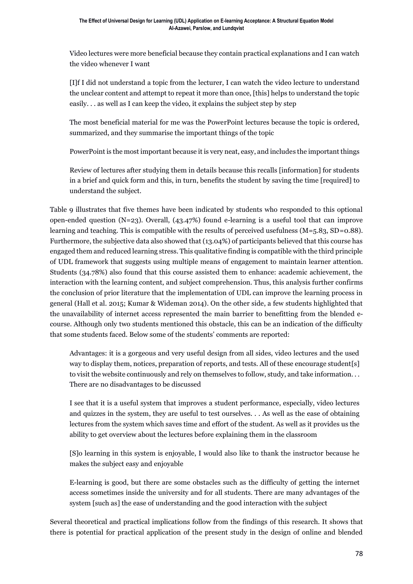Video lectures were more beneficial because they contain practical explanations and I can watch the video whenever I want

[I]f I did not understand a topic from the lecturer, I can watch the video lecture to understand the unclear content and attempt to repeat it more than once, [this] helps to understand the topic easily. . . as well as I can keep the video, it explains the subject step by step

The most beneficial material for me was the PowerPoint lectures because the topic is ordered, summarized, and they summarise the important things of the topic

PowerPoint is the most important because it is very neat, easy, and includes the important things

Review of lectures after studying them in details because this recalls [information] for students in a brief and quick form and this, in turn, benefits the student by saving the time [required] to understand the subject.

Table 9 illustrates that five themes have been indicated by students who responded to this optional open-ended question (N=23). Overall, (43.47%) found e-learning is a useful tool that can improve learning and teaching. This is compatible with the results of perceived usefulness (M=5.83, SD=0.88). Furthermore, the subjective data also showed that (13.04%) of participants believed that this course has engaged them and reduced learning stress. This qualitative finding is compatible with the third principle of UDL framework that suggests using multiple means of engagement to maintain learner attention. Students (34.78%) also found that this course assisted them to enhance: academic achievement, the interaction with the learning content, and subject comprehension. Thus, this analysis further confirms the conclusion of prior literature that the implementation of UDL can improve the learning process in general (Hall et al. 2015; Kumar & Wideman 2014). On the other side, a few students highlighted that the unavailability of internet access represented the main barrier to benefitting from the blended ecourse. Although only two students mentioned this obstacle, this can be an indication of the difficulty that some students faced. Below some of the students' comments are reported:

Advantages: it is a gorgeous and very useful design from all sides, video lectures and the used way to display them, notices, preparation of reports, and tests. All of these encourage student[s] to visit the website continuously and rely on themselves to follow, study, and take information. . . There are no disadvantages to be discussed

I see that it is a useful system that improves a student performance, especially, video lectures and quizzes in the system, they are useful to test ourselves. . . As well as the ease of obtaining lectures from the system which saves time and effort of the student. As well as it provides us the ability to get overview about the lectures before explaining them in the classroom

[S]o learning in this system is enjoyable, I would also like to thank the instructor because he makes the subject easy and enjoyable

E-learning is good, but there are some obstacles such as the difficulty of getting the internet access sometimes inside the university and for all students. There are many advantages of the system [such as] the ease of understanding and the good interaction with the subject

Several theoretical and practical implications follow from the findings of this research. It shows that there is potential for practical application of the present study in the design of online and blended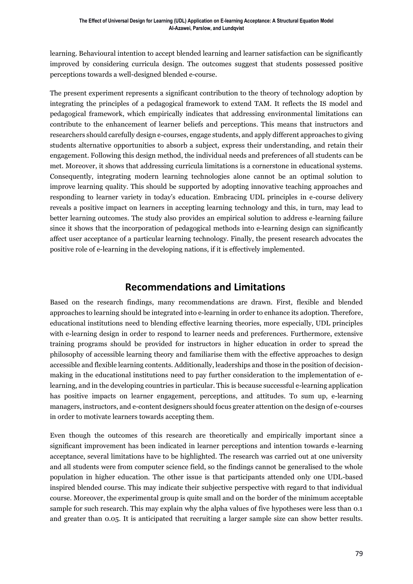learning. Behavioural intention to accept blended learning and learner satisfaction can be significantly improved by considering curricula design. The outcomes suggest that students possessed positive perceptions towards a well-designed blended e-course.

The present experiment represents a significant contribution to the theory of technology adoption by integrating the principles of a pedagogical framework to extend TAM. It reflects the IS model and pedagogical framework, which empirically indicates that addressing environmental limitations can contribute to the enhancement of learner beliefs and perceptions. This means that instructors and researchers should carefully design e-courses, engage students, and apply different approaches to giving students alternative opportunities to absorb a subject, express their understanding, and retain their engagement. Following this design method, the individual needs and preferences of all students can be met. Moreover, it shows that addressing curricula limitations is a cornerstone in educational systems. Consequently, integrating modern learning technologies alone cannot be an optimal solution to improve learning quality. This should be supported by adopting innovative teaching approaches and responding to learner variety in today's education. Embracing UDL principles in e-course delivery reveals a positive impact on learners in accepting learning technology and this, in turn, may lead to better learning outcomes. The study also provides an empirical solution to address e-learning failure since it shows that the incorporation of pedagogical methods into e-learning design can significantly affect user acceptance of a particular learning technology. Finally, the present research advocates the positive role of e-learning in the developing nations, if it is effectively implemented.

## **Recommendations and Limitations**

Based on the research findings, many recommendations are drawn. First, flexible and blended approaches to learning should be integrated into e-learning in order to enhance its adoption. Therefore, educational institutions need to blending effective learning theories, more especially, UDL principles with e-learning design in order to respond to learner needs and preferences. Furthermore, extensive training programs should be provided for instructors in higher education in order to spread the philosophy of accessible learning theory and familiarise them with the effective approaches to design accessible and flexible learning contents. Additionally, leaderships and those in the position of decisionmaking in the educational institutions need to pay further consideration to the implementation of elearning, and in the developing countries in particular. This is because successful e-learning application has positive impacts on learner engagement, perceptions, and attitudes. To sum up, e-learning managers, instructors, and e-content designers should focus greater attention on the design of e-courses in order to motivate learners towards accepting them.

Even though the outcomes of this research are theoretically and empirically important since a significant improvement has been indicated in learner perceptions and intention towards e-learning acceptance, several limitations have to be highlighted. The research was carried out at one university and all students were from computer science field, so the findings cannot be generalised to the whole population in higher education. The other issue is that participants attended only one UDL-based inspired blended course. This may indicate their subjective perspective with regard to that individual course. Moreover, the experimental group is quite small and on the border of the minimum acceptable sample for such research. This may explain why the alpha values of five hypotheses were less than 0.1 and greater than 0.05. It is anticipated that recruiting a larger sample size can show better results.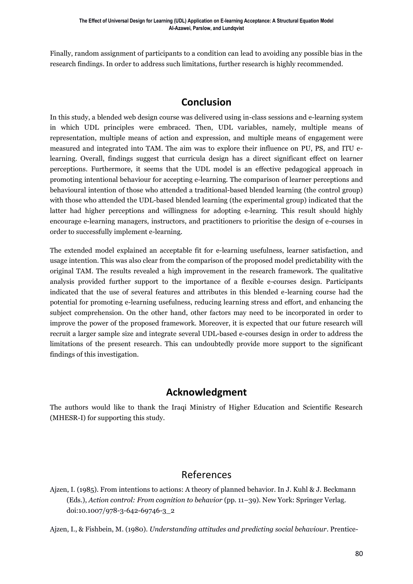Finally, random assignment of participants to a condition can lead to avoiding any possible bias in the research findings. In order to address such limitations, further research is highly recommended.

## **Conclusion**

In this study, a blended web design course was delivered using in-class sessions and e-learning system in which UDL principles were embraced. Then, UDL variables, namely, multiple means of representation, multiple means of action and expression, and multiple means of engagement were measured and integrated into TAM. The aim was to explore their influence on PU, PS, and ITU elearning. Overall, findings suggest that curricula design has a direct significant effect on learner perceptions. Furthermore, it seems that the UDL model is an effective pedagogical approach in promoting intentional behaviour for accepting e-learning. The comparison of learner perceptions and behavioural intention of those who attended a traditional-based blended learning (the control group) with those who attended the UDL-based blended learning (the experimental group) indicated that the latter had higher perceptions and willingness for adopting e-learning. This result should highly encourage e-learning managers, instructors, and practitioners to prioritise the design of e-courses in order to successfully implement e-learning.

The extended model explained an acceptable fit for e-learning usefulness, learner satisfaction, and usage intention. This was also clear from the comparison of the proposed model predictability with the original TAM. The results revealed a high improvement in the research framework. The qualitative analysis provided further support to the importance of a flexible e-courses design. Participants indicated that the use of several features and attributes in this blended e-learning course had the potential for promoting e-learning usefulness, reducing learning stress and effort, and enhancing the subject comprehension. On the other hand, other factors may need to be incorporated in order to improve the power of the proposed framework. Moreover, it is expected that our future research will recruit a larger sample size and integrate several UDL-based e-courses design in order to address the limitations of the present research. This can undoubtedly provide more support to the significant findings of this investigation.

## **Acknowledgment**

The authors would like to thank the Iraqi Ministry of Higher Education and Scientific Research (MHESR-I) for supporting this study.

## References

Ajzen, I. (1985). From intentions to actions: A theory of planned behavior. In J. Kuhl & J. Beckmann (Eds.), *Action control: From cognition to behavior* (pp. 11–39). New York: Springer Verlag. doi:10.1007/978-3-642-69746-3\_2

Ajzen, I., & Fishbein, M. (1980). *Understanding attitudes and predicting social behaviour*. Prentice-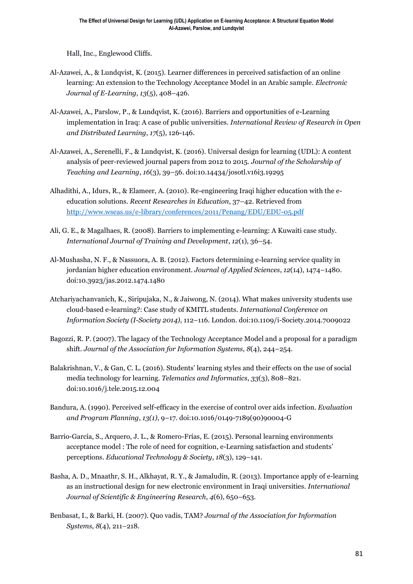Hall, Inc., Englewood Cliffs.

- Al-Azawei, A., & Lundqvist, K. (2015). Learner differences in perceived satisfaction of an online learning: An extension to the Technology Acceptance Model in an Arabic sample. *Electronic Journal of E-Learning*, *13*(5), 408–426.
- Al-Azawei, A., Parslow, P., & Lundqvist, K. (2016). Barriers and opportunities of e-Learning implementation in Iraq: A case of public universities. *International Review of Research in Open and Distributed Learning*, *17*(5), 126-146.
- Al-Azawei, A., Serenelli, F., & Lundqvist, K. (2016). Universal design for learning (UDL): A content analysis of peer-reviewed journal papers from 2012 to 2015. *Journal of the Scholarship of Teaching and Learning*, *16*(3), 39–56. doi:10.14434/josotl.v16i3.19295
- Alhadithi, A., Idurs, R., & Elameer, A. (2010). Re-engineering Iraqi higher education with the eeducation solutions. *Recent Researches in Education*, 37–42. Retrieved from <http://www.wseas.us/e-library/conferences/2011/Penang/EDU/EDU-05.pdf>
- Ali, G. E., & Magalhaes, R. (2008). Barriers to implementing e-learning: A Kuwaiti case study. *International Journal of Training and Development*, *12*(1), 36–54.
- Al-Mushasha, N. F., & Nassuora, A. B. (2012). Factors determining e-learning service quality in jordanian higher education environment. *Journal of Applied Sciences*, *12*(14), 1474–1480. doi:10.3923/jas.2012.1474.1480
- Atchariyachanvanich, K., Siripujaka, N., & Jaiwong, N. (2014). What makes university students use cloud-based e-learning?: Case study of KMITL students. *International Conference on Information Society (I-Society 2014)*, 112–116. London. doi:10.1109/i-Society.2014.7009022
- Bagozzi, R. P. (2007). The lagacy of the Technology Acceptance Model and a proposal for a paradigm shift. *Journal of the Association for Information Systems*, *8*(4), 244–254.
- Balakrishnan, V., & Gan, C. L. (2016). Students' learning styles and their effects on the use of social media technology for learning. *Telematics and Informatics*, *33*(3), 808–821. doi:10.1016/j.tele.2015.12.004
- Bandura, A. (1990). Perceived self-efficacy in the exercise of control over aids infection. *Evaluation and Program Planning*, *13(1)*, 9–17. doi:10.1016/0149-7189(90)90004-G
- Barrio-García, S., Arquero, J. L., & Romero-Frías, E. (2015). Personal learning environments acceptance model : The role of need for cognition, e-Learning satisfaction and students' perceptions. *Educational Technology & Society*, *18*(3), 129–141.
- Basha, A. D., Mnaathr, S. H., Alkhayat, R. Y., & Jamaludin, R. (2013). Importance apply of e-learning as an instructional design for new electronic environment in Iraqi universities. *International Journal of Scientific & Engineering Research*, *4*(6), 650–653.
- Benbasat, I., & Barki, H. (2007). Quo vadis, TAM? *Journal of the Association for Information Systems*, *8*(4), 211–218.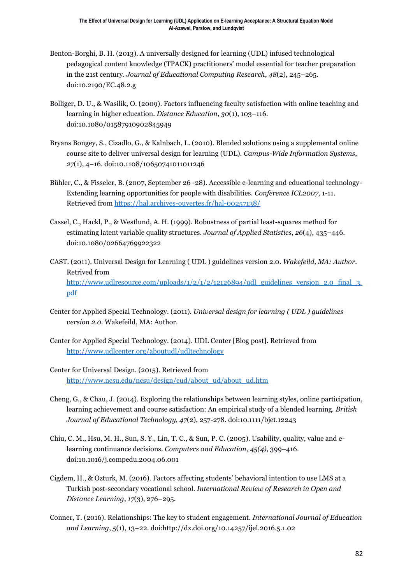- Benton-Borghi, B. H. (2013). A universally designed for learning (UDL) infused technological pedagogical content knowledge (TPACK) practitioners' model essential for teacher preparation in the 21st century. *Journal of Educational Computing Research*, *48*(2), 245–265. doi:10.2190/EC.48.2.g
- Bolliger, D. U., & Wasilik, O. (2009). Factors influencing faculty satisfaction with online teaching and learning in higher education. *Distance Education*, *30*(1), 103–116. doi:10.1080/01587910902845949
- Bryans Bongey, S., Cizadlo, G., & Kalnbach, L. (2010). Blended solutions using a supplemental online course site to deliver universal design for learning (UDL). *Campus-Wide Information Systems*, *27*(1), 4–16. doi:10.1108/10650741011011246
- Bühler, C., & Fisseler, B. (2007, September 26 -28). Accessible e-learning and educational technology-Extending learning opportunities for people with disabilities. *Conference ICL2007*, 1-11. Retrieved from<https://hal.archives-ouvertes.fr/hal-00257138/>
- Cassel, C., Hackl, P., & Westlund, A. H. (1999). Robustness of partial least-squares method for estimating latent variable quality structures. *Journal of Applied Statistics*, *26*(4), 435–446. doi:10.1080/02664769922322
- CAST. (2011). Universal Design for Learning ( UDL ) guidelines version 2.0. *Wakefeild, MA: Author*. Retrived from http://www.udlresource.com/uploads/ $1/2/1/2/12126894/udl$  guidelines version 2.0 final 3. [pdf](http://www.udlresource.com/uploads/1/2/1/2/12126894/udl_guidelines_version_2.0_final_3.pdf)
- Center for Applied Special Technology. (2011). *Universal design for learning ( UDL ) guidelines version 2.0.* Wakefeild, MA: Author.
- Center for Applied Special Technology. (2014). UDL Center [Blog post]. Retrieved from <http://www.udlcenter.org/aboutudl/udltechnology>
- Center for Universal Design. (2015). Retrieved from [http://www.ncsu.edu/ncsu/design/cud/about\\_ud/about\\_ud.htm](http://www.ncsu.edu/ncsu/design/cud/about_ud/about_ud.htm)
- Cheng, G., & Chau, J. (2014). Exploring the relationships between learning styles, online participation, learning achievement and course satisfaction: An empirical study of a blended learning. *British Journal of Educational Technology, 47*(2), 257-278. doi:10.1111/bjet.12243
- Chiu, C. M., Hsu, M. H., Sun, S. Y., Lin, T. C., & Sun, P. C. (2005). Usability, quality, value and elearning continuance decisions. *Computers and Education*, *45(4)*, 399–416. doi:10.1016/j.compedu.2004.06.001
- Cigdem, H., & Ozturk, M. (2016). Factors affecting students' behavioral intention to use LMS at a Turkish post-secondary vocational school. *International Review of Research in Open and Distance Learning*, *17*(3), 276–295.
- Conner, T. (2016). Relationships: The key to student engagement. *International Journal of Education and Learning*, *5*(1), 13–22. doi:http://dx.doi.org/10.14257/ijel.2016.5.1.02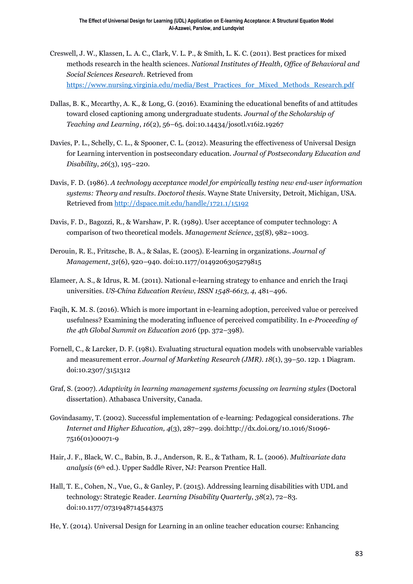- Creswell, J. W., Klassen, L. A. C., Clark, V. L. P., & Smith, L. K. C. (2011). Best practices for mixed methods research in the health sciences. *National Institutes of Health, Office of Behavioral and Social Sciences Research*. Retrieved from [https://www.nursing.virginia.edu/media/Best\\_Practices\\_for\\_Mixed\\_Methods\\_Research.pdf](https://www.nursing.virginia.edu/media/Best_Practices_for_Mixed_Methods_Research.pdf)
- Dallas, B. K., Mccarthy, A. K., & Long, G. (2016). Examining the educational benefits of and attitudes toward closed captioning among undergraduate students. *Journal of the Scholarship of Teaching and Learning*, *16*(2), 56–65. doi:10.14434/josotl.v16i2.19267
- Davies, P. L., Schelly, C. L., & Spooner, C. L. (2012). Measuring the effectiveness of Universal Design for Learning intervention in postsecondary education. *Journal of Postsecondary Education and Disability*, *26*(3), 195–220.
- Davis, F. D. (1986). *A technology acceptance model for empirically testing new end-user information systems: Theory and results*. *Doctorol thesis*. Wayne State University, Detroit, Michigan, USA. Retrieved from<http://dspace.mit.edu/handle/1721.1/15192>
- Davis, F. D., Bagozzi, R., & Warshaw, P. R. (1989). User acceptance of computer technology: A comparison of two theoretical models. *Management Science*, *35*(8), 982–1003.
- Derouin, R. E., Fritzsche, B. A., & Salas, E. (2005). E-learning in organizations. *Journal of Management*, *31*(6), 920–940. doi:10.1177/0149206305279815
- Elameer, A. S., & Idrus, R. M. (2011). National e-learning strategy to enhance and enrich the Iraqi universities. *US-China Education Review, ISSN 1548-6613*, *4*, 481–496.
- Faqih, K. M. S. (2016). Which is more important in e-learning adoption, perceived value or perceived usefulness? Examining the moderating influence of perceived compatibility. In *e-Proceeding of the 4th Global Summit on Education 2016* (pp. 372–398).
- Fornell, C., & Larcker, D. F. (1981). Evaluating structural equation models with unobservable variables and measurement error. *Journal of Marketing Research (JMR). 18*(1), 39–50. 12p. 1 Diagram. doi:10.2307/3151312
- Graf, S. (2007). *Adaptivity in learning management systems focussing on learning styles* (Doctoral dissertation). Athabasca University, Canada.
- Govindasamy, T. (2002). Successful implementation of e-learning: Pedagogical considerations. *The Internet and Higher Education, 4*(3), 287–299. doi:http://dx.doi.org/10.1016/S1096- 7516(01)00071-9
- Hair, J. F., Black, W. C., Babin, B. J., Anderson, R. E., & Tatham, R. L. (2006). *Multivariate data analysis* (6th ed.). Upper Saddle River, NJ: Pearson Prentice Hall.
- Hall, T. E., Cohen, N., Vue, G., & Ganley, P. (2015). Addressing learning disabilities with UDL and technology: Strategic Reader. *Learning Disability Quarterly*, *38*(2), 72–83. doi:10.1177/0731948714544375
- He, Y. (2014). Universal Design for Learning in an online teacher education course: Enhancing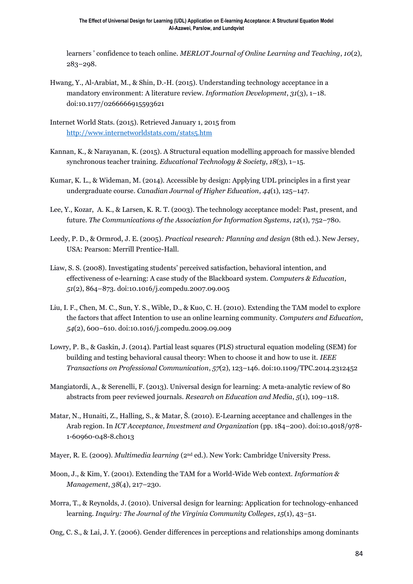learners ' confidence to teach online. *MERLOT Journal of Online Learning and Teaching*, *10*(2), 283–298.

- Hwang, Y., Al-Arabiat, M., & Shin, D.-H. (2015). Understanding technology acceptance in a mandatory environment: A literature review. *Information Development*, *31*(3), 1–18. doi:10.1177/0266666915593621
- Internet World Stats. (2015). Retrieved January 1, 2015 from <http://www.internetworldstats.com/stats5.htm>
- Kannan, K., & Narayanan, K. (2015). A Structural equation modelling approach for massive blended synchronous teacher training. *Educational Technology & Society*, *18*(3), 1–15.
- Kumar, K. L., & Wideman, M. (2014). Accessible by design: Applying UDL principles in a first year undergraduate course. *Canadian Journal of Higher Education*, *44*(1), 125–147.
- Lee, Y., Kozar, A. K., & Larsen, K. R. T. (2003). The technology acceptance model: Past, present, and future. *The Communications of the Association for Information Systems*, *12*(1), 752–780.
- Leedy, P. D., & Ormrod, J. E. (2005). *Practical research: Planning and design* (8th ed.). New Jersey, USA: Pearson: Merrill Prentice-Hall.
- Liaw, S. S. (2008). Investigating students' perceived satisfaction, behavioral intention, and effectiveness of e-learning: A case study of the Blackboard system. *Computers & Education*, *51*(2), 864–873. doi:10.1016/j.compedu.2007.09.005
- Liu, I. F., Chen, M. C., Sun, Y. S., Wible, D., & Kuo, C. H. (2010). Extending the TAM model to explore the factors that affect Intention to use an online learning community. *Computers and Education*, *54*(2), 600–610. doi:10.1016/j.compedu.2009.09.009
- Lowry, P. B., & Gaskin, J. (2014). Partial least squares (PLS) structural equation modeling (SEM) for building and testing behavioral causal theory: When to choose it and how to use it. *IEEE Transactions on Professional Communication*, *57*(2), 123–146. doi:10.1109/TPC.2014.2312452
- Mangiatordi, A., & Serenelli, F. (2013). Universal design for learning: A meta-analytic review of 80 abstracts from peer reviewed journals. *Research on Education and Media*, *5*(1), 109–118.
- Matar, N., Hunaiti, Z., Halling, S., & Matar, Š. (2010). E-Learning acceptance and challenges in the Arab region. In *ICT Acceptance, Investment and Organization* (pp. 184–200). doi:10.4018/978- 1-60960-048-8.ch013
- Mayer, R. E. (2009). *Multimedia learning* (2nd ed.). New York: Cambridge University Press.
- Moon, J., & Kim, Y. (2001). Extending the TAM for a World-Wide Web context. *Information & Management*, *38*(4), 217–230.
- Morra, T., & Reynolds, J. (2010). Universal design for learning: Application for technology-enhanced learning. *Inquiry: The Journal of the Virginia Community Colleges*, *15*(1), 43–51.

Ong, C. S., & Lai, J. Y. (2006). Gender differences in perceptions and relationships among dominants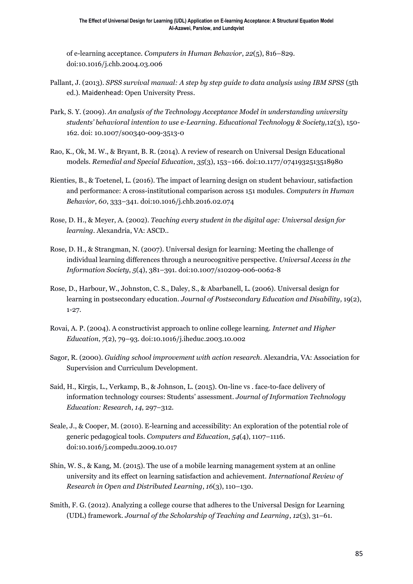of e-learning acceptance. *Computers in Human Behavior*, *22*(5), 816–829. doi:10.1016/j.chb.2004.03.006

- Pallant, J. (2013). *SPSS survival manual: A step by step guide to data analysis using IBM SPSS* (5th ed.). Maidenhead: Open University Press.
- Park, S. Y. (2009). *An analysis of the Technology Acceptance Model in understanding university students' behavioral intention to use e-Learning*. *Educational Technology & Society,*12(3), 150- 162. doi: 10.1007/s00340-009-3513-0
- Rao, K., Ok, M. W., & Bryant, B. R. (2014). A review of research on Universal Design Educational models. *Remedial and Special Education*, *35*(3), 153–166. doi:10.1177/0741932513518980
- Rienties, B., & Toetenel, L. (2016). The impact of learning design on student behaviour, satisfaction and performance: A cross-institutional comparison across 151 modules. *Computers in Human Behavior*, *60*, 333–341. doi:10.1016/j.chb.2016.02.074
- Rose, D. H., & Meyer, A. (2002). *Teaching every student in the digital age: Universal design for learning*. Alexandria, VA: ASCD..
- Rose, D. H., & Strangman, N. (2007). Universal design for learning: Meeting the challenge of individual learning differences through a neurocognitive perspective. *Universal Access in the Information Society*, *5*(4), 381–391. doi:10.1007/s10209-006-0062-8
- Rose, D., Harbour, W., Johnston, C. S., Daley, S., & Abarbanell, L. (2006). Universal design for learning in postsecondary education. *Journal of Postsecondary Education and Disability,* 19(2), 1-27.
- Rovai, A. P. (2004). A constructivist approach to online college learning. *Internet and Higher Education*, *7*(2), 79–93. doi:10.1016/j.iheduc.2003.10.002
- Sagor, R. (2000). *Guiding school improvement with action research*. Alexandria, VA: Association for Supervision and Curriculum Development.
- Said, H., Kirgis, L., Verkamp, B., & Johnson, L. (2015). On-line vs . face-to-face delivery of information technology courses: Students' assessment. *Journal of Information Technology Education: Research*, *14*, 297–312.
- Seale, J., & Cooper, M. (2010). E-learning and accessibility: An exploration of the potential role of generic pedagogical tools. *Computers and Education*, *54*(4), 1107–1116. doi:10.1016/j.compedu.2009.10.017
- Shin, W. S., & Kang, M. (2015). The use of a mobile learning management system at an online university and its effect on learning satisfaction and achievement. *International Review of Research in Open and Distributed Learning*, *16*(3), 110–130.
- Smith, F. G. (2012). Analyzing a college course that adheres to the Universal Design for Learning (UDL) framework. *Journal of the Scholarship of Teaching and Learning*, *12*(3), 31–61.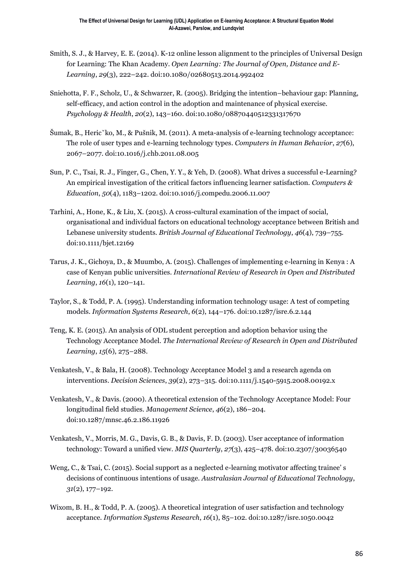- Smith, S. J., & Harvey, E. E. (2014). K-12 online lesson alignment to the principles of Universal Design for Learning: The Khan Academy. *Open Learning: The Journal of Open, Distance and E-Learning*, *29*(3), 222–242. doi:10.1080/02680513.2014.992402
- Sniehotta, F. F., Scholz, U., & Schwarzer, R. (2005). Bridging the intention–behaviour gap: Planning, self-efficacy, and action control in the adoption and maintenance of physical exercise. *Psychology & Health*, *20*(2), 143–160. doi:10.1080/08870440512331317670
- Šumak, B., Hericˇko, M., & Pušnik, M. (2011). A meta-analysis of e-learning technology acceptance: The role of user types and e-learning technology types. *Computers in Human Behavior*, *27*(6), 2067–2077. doi:10.1016/j.chb.2011.08.005
- Sun, P. C., Tsai, R. J., Finger, G., Chen, Y. Y., & Yeh, D. (2008). What drives a successful e-Learning? An empirical investigation of the critical factors influencing learner satisfaction. *Computers & Education*, *50*(4), 1183–1202. doi:10.1016/j.compedu.2006.11.007
- Tarhini, A., Hone, K., & Liu, X. (2015). A cross-cultural examination of the impact of social, organisational and individual factors on educational technology acceptance between British and Lebanese university students. *British Journal of Educational Technology*, *46*(4), 739–755. doi:10.1111/bjet.12169
- Tarus, J. K., Gichoya, D., & Muumbo, A. (2015). Challenges of implementing e-learning in Kenya : A case of Kenyan public universities. *International Review of Research in Open and Distributed Learning*, *16*(1), 120–141.
- Taylor, S., & Todd, P. A. (1995). Understanding information technology usage: A test of competing models. *Information Systems Research*, *6*(2), 144–176. doi:10.1287/isre.6.2.144
- Teng, K. E. (2015). An analysis of ODL student perception and adoption behavior using the Technology Acceptance Model. *The International Review of Research in Open and Distributed Learning*, *15*(6), 275–288.
- Venkatesh, V., & Bala, H. (2008). Technology Acceptance Model 3 and a research agenda on interventions. *Decision Sciences*, *39*(2), 273–315. doi:10.1111/j.1540-5915.2008.00192.x
- Venkatesh, V., & Davis. (2000). A theoretical extension of the Technology Acceptance Model: Four longitudinal field studies. *Management Science*, *46*(2), 186–204. doi:10.1287/mnsc.46.2.186.11926
- Venkatesh, V., Morris, M. G., Davis, G. B., & Davis, F. D. (2003). User acceptance of information technology: Toward a unified view. *MIS Quarterly*, *27*(3), 425–478. doi:10.2307/30036540
- Weng, C., & Tsai, C. (2015). Social support as a neglected e-learning motivator affecting trainee's decisions of continuous intentions of usage. *Australasian Journal of Educational Technology*, *31*(2), 177–192.
- Wixom, B. H., & Todd, P. A. (2005). A theoretical integration of user satisfaction and technology acceptance. *Information Systems Research*, *16*(1), 85–102. doi:10.1287/isre.1050.0042